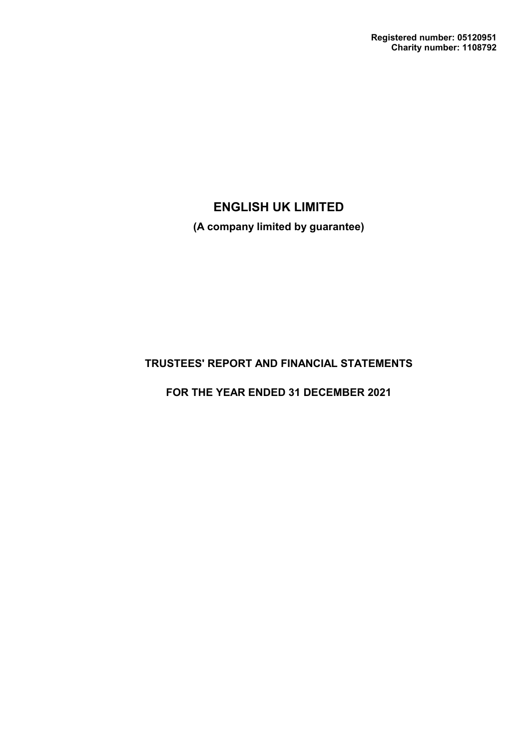**(A company limited by guarantee)**

# **TRUSTEES' REPORT AND FINANCIAL STATEMENTS**

**FOR THE YEAR ENDED 31 DECEMBER 2021**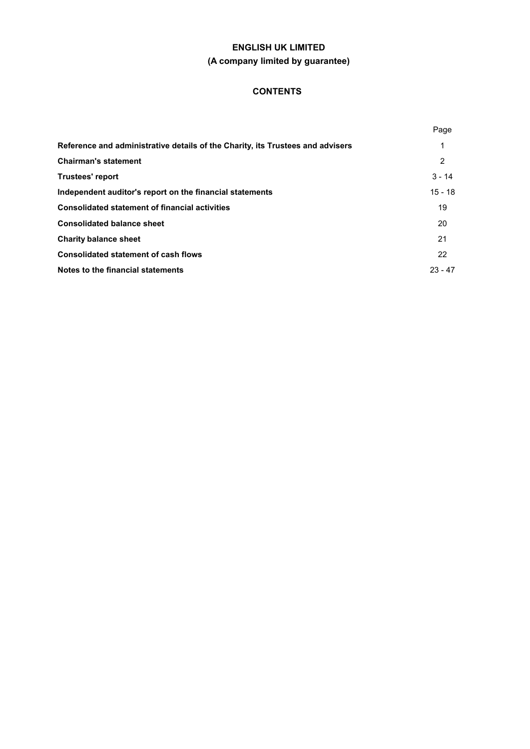## **CONTENTS**

|                                                                                | Page      |
|--------------------------------------------------------------------------------|-----------|
| Reference and administrative details of the Charity, its Trustees and advisers | 1         |
| <b>Chairman's statement</b>                                                    | 2         |
| <b>Trustees' report</b>                                                        | $3 - 14$  |
| Independent auditor's report on the financial statements                       | $15 - 18$ |
| <b>Consolidated statement of financial activities</b>                          | 19        |
| <b>Consolidated balance sheet</b>                                              | 20        |
| <b>Charity balance sheet</b>                                                   | 21        |
| <b>Consolidated statement of cash flows</b>                                    | 22        |
| Notes to the financial statements                                              | $23 - 47$ |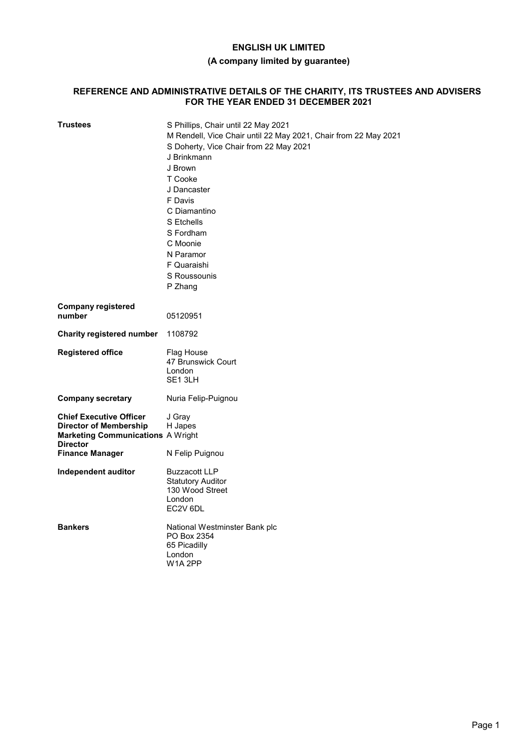## **(A company limited by guarantee)**

### **REFERENCE AND ADMINISTRATIVE DETAILS OF THE CHARITY, ITS TRUSTEES AND ADVISERS FOR THE YEAR ENDED 31 DECEMBER 2021**

| Trustees                                                                                                                                                 | S Phillips, Chair until 22 May 2021<br>M Rendell, Vice Chair until 22 May 2021, Chair from 22 May 2021<br>S Doherty, Vice Chair from 22 May 2021<br>J Brinkmann<br>J Brown<br>T Cooke<br>J Dancaster<br>F Davis<br>C Diamantino<br>S Etchells<br>S Fordham<br>C Moonie<br>N Paramor<br>F Quaraishi<br>S Roussounis<br>P Zhang |
|----------------------------------------------------------------------------------------------------------------------------------------------------------|-------------------------------------------------------------------------------------------------------------------------------------------------------------------------------------------------------------------------------------------------------------------------------------------------------------------------------|
| <b>Company registered</b><br>number                                                                                                                      | 05120951                                                                                                                                                                                                                                                                                                                      |
| <b>Charity registered number</b>                                                                                                                         | 1108792                                                                                                                                                                                                                                                                                                                       |
| <b>Registered office</b>                                                                                                                                 | Flag House<br>47 Brunswick Court<br>London<br>SE1 3LH                                                                                                                                                                                                                                                                         |
| <b>Company secretary</b>                                                                                                                                 | Nuria Felip-Puignou                                                                                                                                                                                                                                                                                                           |
| <b>Chief Executive Officer</b><br><b>Director of Membership</b><br><b>Marketing Communications A Wright</b><br><b>Director</b><br><b>Finance Manager</b> | J Gray<br>H Japes<br>N Felip Puignou                                                                                                                                                                                                                                                                                          |
| Independent auditor                                                                                                                                      | <b>Buzzacott LLP</b><br><b>Statutory Auditor</b><br>130 Wood Street<br>London<br>EC2V 6DL                                                                                                                                                                                                                                     |
| <b>Bankers</b>                                                                                                                                           | National Westminster Bank plc<br>PO Box 2354<br>65 Picadilly<br>London<br><b>W1A 2PP</b>                                                                                                                                                                                                                                      |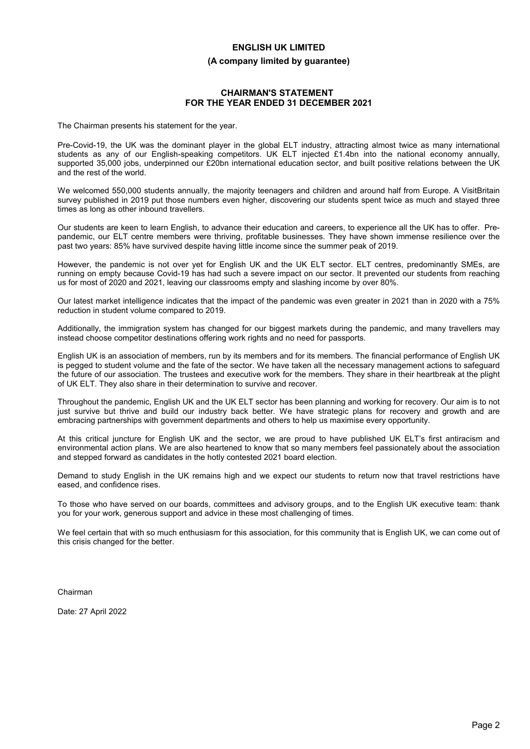#### **(A company limited by guarantee)**

### **CHAIRMAN'S STATEMENT FOR THE YEAR ENDED 31 DECEMBER 2021**

The Chairman presents his statement for the year.

Pre-Covid-19, the UK was the dominant player in the global ELT industry, attracting almost twice as many international students as any of our English-speaking competitors. UK ELT injected £1.4bn into the national economy annually, supported 35,000 jobs, underpinned our £20bn international education sector, and built positive relations between the UK and the rest of the world.

We welcomed 550,000 students annually, the majority teenagers and children and around half from Europe. A VisitBritain survey published in 2019 put those numbers even higher, discovering our students spent twice as much and stayed three times as long as other inbound travellers.

Our students are keen to learn English, to advance their education and careers, to experience all the UK has to offer. Prepandemic, our ELT centre members were thriving, profitable businesses. They have shown immense resilience over the past two years: 85% have survived despite having little income since the summer peak of 2019.

However, the pandemic is not over yet for English UK and the UK ELT sector. ELT centres, predominantly SMEs, are running on empty because Covid-19 has had such a severe impact on our sector. It prevented our students from reaching us for most of 2020 and 2021, leaving our classrooms empty and slashing income by over 80%.

Our latest market intelligence indicates that the impact of the pandemic was even greater in 2021 than in 2020 with a 75% reduction in student volume compared to 2019.

Additionally, the immigration system has changed for our biggest markets during the pandemic, and many travellers may instead choose competitor destinations offering work rights and no need for passports.

English UK is an association of members, run by its members and for its members. The financial performance of English UK is pegged to student volume and the fate of the sector. We have taken all the necessary management actions to safeguard the future of our association. The trustees and executive work for the members. They share in their heartbreak at the plight of UK ELT. They also share in their determination to survive and recover.

Throughout the pandemic, English UK and the UK ELT sector has been planning and working for recovery. Our aim is to not just survive but thrive and build our industry back better. We have strategic plans for recovery and growth and are embracing partnerships with government departments and others to help us maximise every opportunity.

At this critical juncture for English UK and the sector, we are proud to have published UK ELT's first antiracism and environmental action plans. We are also heartened to know that so many members feel passionately about the association and stepped forward as candidates in the hotly contested 2021 board election.

Demand to study English in the UK remains high and we expect our students to return now that travel restrictions have eased, and confidence rises.

To those who have served on our boards, committees and advisory groups, and to the English UK executive team: thank you for your work, generous support and advice in these most challenging of times.

We feel certain that with so much enthusiasm for this association, for this community that is English UK, we can come out of this crisis changed for the better.

Chairman

Date: 27 April 2022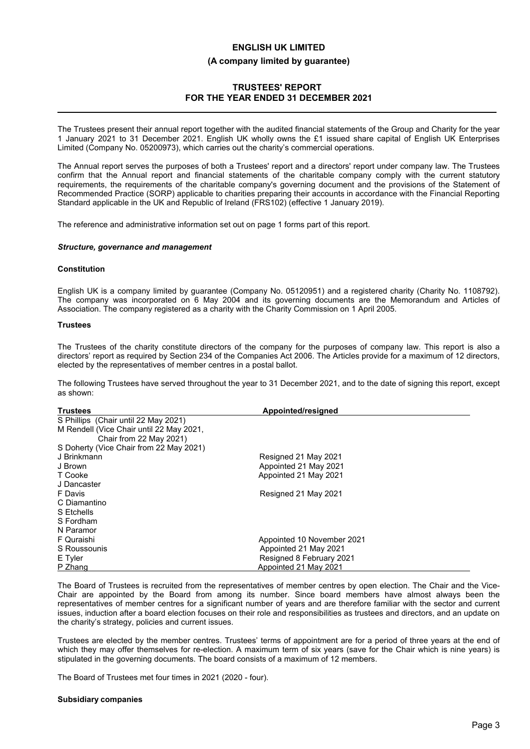## **TRUSTEES' REPORT FOR THE YEAR ENDED 31 DECEMBER 2021**

The Trustees present their annual report together with the audited financial statements of the Group and Charity for the year 1 January 2021 to 31 December 2021. English UK wholly owns the £1 issued share capital of English UK Enterprises Limited (Company No. 05200973), which carries out the charity's commercial operations.

The Annual report serves the purposes of both a Trustees' report and a directors' report under company law. The Trustees confirm that the Annual report and financial statements of the charitable company comply with the current statutory requirements, the requirements of the charitable company's governing document and the provisions of the Statement of Recommended Practice (SORP) applicable to charities preparing their accounts in accordance with the Financial Reporting Standard applicable in the UK and Republic of Ireland (FRS102) (effective 1 January 2019).

The reference and administrative information set out on page 1 forms part of this report.

#### *Structure, governance and management*

#### **Constitution**

English UK is a company limited by guarantee (Company No. 05120951) and a registered charity (Charity No. 1108792). The company was incorporated on 6 May 2004 and its governing documents are the Memorandum and Articles of Association. The company registered as a charity with the Charity Commission on 1 April 2005.

#### **Trustees**

The Trustees of the charity constitute directors of the company for the purposes of company law. This report is also a directors' report as required by Section 234 of the Companies Act 2006. The Articles provide for a maximum of 12 directors, elected by the representatives of member centres in a postal ballot.

The following Trustees have served throughout the year to 31 December 2021, and to the date of signing this report, except as shown:

| <b>Trustees</b>                          | Appointed/resigned         |
|------------------------------------------|----------------------------|
| S Phillips (Chair until 22 May 2021)     |                            |
| M Rendell (Vice Chair until 22 May 2021, |                            |
| Chair from 22 May 2021)                  |                            |
| S Doherty (Vice Chair from 22 May 2021)  |                            |
| J Brinkmann                              | Resigned 21 May 2021       |
| J Brown                                  | Appointed 21 May 2021      |
| T Cooke                                  | Appointed 21 May 2021      |
| J Dancaster                              |                            |
| F Davis                                  | Resigned 21 May 2021       |
| C Diamantino                             |                            |
| S Etchells                               |                            |
| S Fordham                                |                            |
| N Paramor                                |                            |
| F Quraishi                               | Appointed 10 November 2021 |
| S Roussounis                             | Appointed 21 May 2021      |
| E Tyler                                  | Resigned 8 February 2021   |
| P Zhang                                  | Appointed 21 May 2021      |

The Board of Trustees is recruited from the representatives of member centres by open election. The Chair and the Vice-Chair are appointed by the Board from among its number. Since board members have almost always been the representatives of member centres for a significant number of years and are therefore familiar with the sector and current issues, induction after a board election focuses on their role and responsibilities as trustees and directors, and an update on the charity's strategy, policies and current issues.

Trustees are elected by the member centres. Trustees' terms of appointment are for a period of three years at the end of which they may offer themselves for re-election. A maximum term of six years (save for the Chair which is nine years) is stipulated in the governing documents. The board consists of a maximum of 12 members.

The Board of Trustees met four times in 2021 (2020 - four).

#### **Subsidiary companies**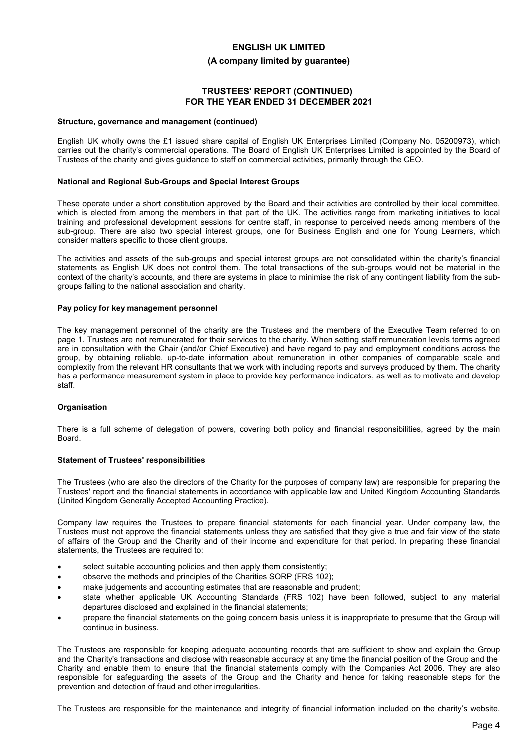#### **(A company limited by guarantee)**

## **TRUSTEES' REPORT (CONTINUED) FOR THE YEAR ENDED 31 DECEMBER 2021**

#### **Structure, governance and management (continued)**

English UK wholly owns the £1 issued share capital of English UK Enterprises Limited (Company No. 05200973), which carries out the charity's commercial operations. The Board of English UK Enterprises Limited is appointed by the Board of Trustees of the charity and gives guidance to staff on commercial activities, primarily through the CEO.

#### **National and Regional Sub-Groups and Special Interest Groups**

These operate under a short constitution approved by the Board and their activities are controlled by their local committee, which is elected from among the members in that part of the UK. The activities range from marketing initiatives to local training and professional development sessions for centre staff, in response to perceived needs among members of the sub-group. There are also two special interest groups, one for Business English and one for Young Learners, which consider matters specific to those client groups.

The activities and assets of the sub-groups and special interest groups are not consolidated within the charity's financial statements as English UK does not control them. The total transactions of the sub-groups would not be material in the context of the charity's accounts, and there are systems in place to minimise the risk of any contingent liability from the subgroups falling to the national association and charity.

#### **Pay policy for key management personnel**

The key management personnel of the charity are the Trustees and the members of the Executive Team referred to on page 1. Trustees are not remunerated for their services to the charity. When setting staff remuneration levels terms agreed are in consultation with the Chair (and/or Chief Executive) and have regard to pay and employment conditions across the group, by obtaining reliable, up-to-date information about remuneration in other companies of comparable scale and complexity from the relevant HR consultants that we work with including reports and surveys produced by them. The charity has a performance measurement system in place to provide key performance indicators, as well as to motivate and develop staff.

#### **Organisation**

There is a full scheme of delegation of powers, covering both policy and financial responsibilities, agreed by the main Board.

#### **Statement of Trustees' responsibilities**

The Trustees (who are also the directors of the Charity for the purposes of company law) are responsible for preparing the Trustees' report and the financial statements in accordance with applicable law and United Kingdom Accounting Standards (United Kingdom Generally Accepted Accounting Practice).

Company law requires the Trustees to prepare financial statements for each financial year. Under company law, the Trustees must not approve the financial statements unless they are satisfied that they give a true and fair view of the state of affairs of the Group and the Charity and of their income and expenditure for that period. In preparing these financial statements, the Trustees are required to:

- select suitable accounting policies and then apply them consistently;
- observe the methods and principles of the Charities SORP (FRS 102);
- make judgements and accounting estimates that are reasonable and prudent;
- state whether applicable UK Accounting Standards (FRS 102) have been followed, subject to any material departures disclosed and explained in the financial statements;
- prepare the financial statements on the going concern basis unless it is inappropriate to presume that the Group will continue in business.

The Trustees are responsible for keeping adequate accounting records that are sufficient to show and explain the Group and the Charity's transactions and disclose with reasonable accuracy at any time the financial position of the Group and the Charity and enable them to ensure that the financial statements comply with the Companies Act 2006. They are also responsible for safeguarding the assets of the Group and the Charity and hence for taking reasonable steps for the prevention and detection of fraud and other irregularities.

The Trustees are responsible for the maintenance and integrity of financial information included on the charity's website.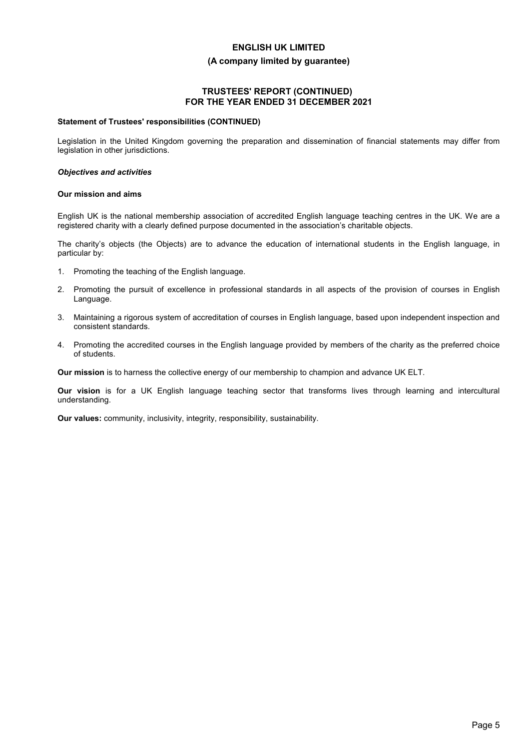#### **(A company limited by guarantee)**

## **TRUSTEES' REPORT (CONTINUED) FOR THE YEAR ENDED 31 DECEMBER 2021**

#### **Statement of Trustees' responsibilities (CONTINUED)**

Legislation in the United Kingdom governing the preparation and dissemination of financial statements may differ from legislation in other jurisdictions.

#### *Objectives and activities*

#### **Our mission and aims**

English UK is the national membership association of accredited English language teaching centres in the UK. We are a registered charity with a clearly defined purpose documented in the association's charitable objects.

The charity's objects (the Objects) are to advance the education of international students in the English language, in particular by:

- 1. Promoting the teaching of the English language.
- 2. Promoting the pursuit of excellence in professional standards in all aspects of the provision of courses in English Language.
- 3. Maintaining a rigorous system of accreditation of courses in English language, based upon independent inspection and consistent standards.
- 4. Promoting the accredited courses in the English language provided by members of the charity as the preferred choice of students.

**Our mission** is to harness the collective energy of our membership to champion and advance UK ELT.

**Our vision** is for a UK English language teaching sector that transforms lives through learning and intercultural understanding.

**Our values:** community, inclusivity, integrity, responsibility, sustainability.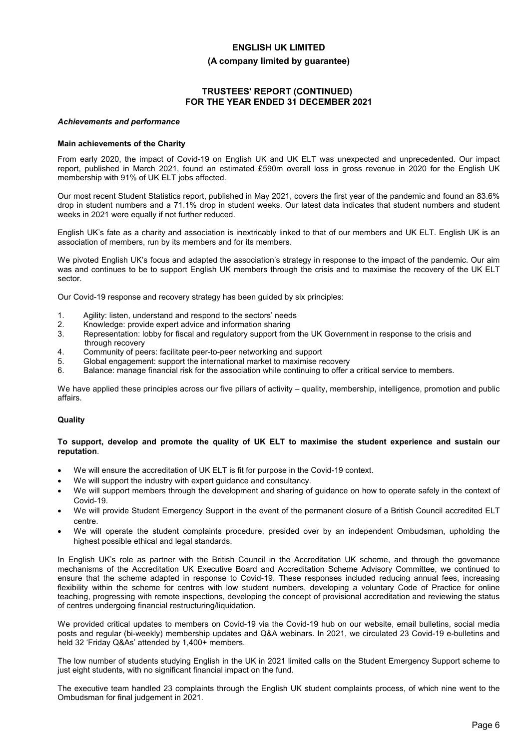#### **(A company limited by guarantee)**

## **TRUSTEES' REPORT (CONTINUED) FOR THE YEAR ENDED 31 DECEMBER 2021**

#### *Achievements and performance*

#### **Main achievements of the Charity**

From early 2020, the impact of Covid-19 on English UK and UK ELT was unexpected and unprecedented. Our impact report, published in March 2021, found an estimated £590m overall loss in gross revenue in 2020 for the English UK membership with 91% of UK ELT jobs affected.

Our most recent Student Statistics report, published in May 2021, covers the first year of the pandemic and found an 83.6% drop in student numbers and a 71.1% drop in student weeks. Our latest data indicates that student numbers and student weeks in 2021 were equally if not further reduced.

English UK's fate as a charity and association is inextricably linked to that of our members and UK ELT. English UK is an association of members, run by its members and for its members.

We pivoted English UK's focus and adapted the association's strategy in response to the impact of the pandemic. Our aim was and continues to be to support English UK members through the crisis and to maximise the recovery of the UK ELT sector.

Our Covid-19 response and recovery strategy has been guided by six principles:

- 1. Agility: listen, understand and respond to the sectors' needs
- 2. Knowledge: provide expert advice and information sharing
- 3. Representation: lobby for fiscal and regulatory support from the UK Government in response to the crisis and through recovery
- 4. Community of peers: facilitate peer-to-peer networking and support
- 5. Global engagement: support the international market to maximise recovery
- 6. Balance: manage financial risk for the association while continuing to offer a critical service to members.

We have applied these principles across our five pillars of activity – quality, membership, intelligence, promotion and public affairs.

#### **Quality**

#### **To support, develop and promote the quality of UK ELT to maximise the student experience and sustain our reputation**.

- We will ensure the accreditation of UK ELT is fit for purpose in the Covid-19 context.
- We will support the industry with expert guidance and consultancy.
- We will support members through the development and sharing of guidance on how to operate safely in the context of Covid-19.
- We will provide Student Emergency Support in the event of the permanent closure of a British Council accredited ELT centre.
- We will operate the student complaints procedure, presided over by an independent Ombudsman, upholding the highest possible ethical and legal standards.

In English UK's role as partner with the British Council in the Accreditation UK scheme, and through the governance mechanisms of the Accreditation UK Executive Board and Accreditation Scheme Advisory Committee, we continued to ensure that the scheme adapted in response to Covid-19. These responses included reducing annual fees, increasing flexibility within the scheme for centres with low student numbers, developing a voluntary Code of Practice for online teaching, progressing with remote inspections, developing the concept of provisional accreditation and reviewing the status of centres undergoing financial restructuring/liquidation.

We provided critical updates to members on Covid-19 via the Covid-19 hub on our website, email bulletins, social media posts and regular (bi-weekly) membership updates and Q&A webinars. In 2021, we circulated 23 Covid-19 e-bulletins and held 32 'Friday Q&As' attended by 1,400+ members.

The low number of students studying English in the UK in 2021 limited calls on the Student Emergency Support scheme to just eight students, with no significant financial impact on the fund.

The executive team handled 23 complaints through the English UK student complaints process, of which nine went to the Ombudsman for final judgement in 2021.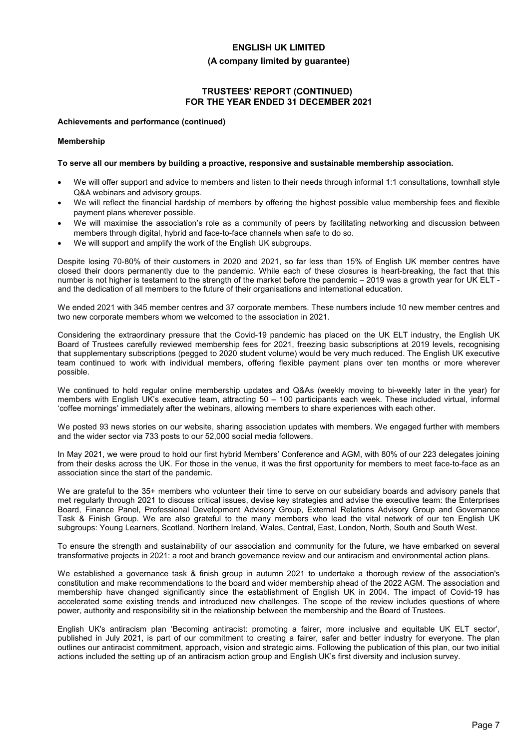#### **(A company limited by guarantee)**

## **TRUSTEES' REPORT (CONTINUED) FOR THE YEAR ENDED 31 DECEMBER 2021**

#### **Achievements and performance (continued)**

#### **Membership**

### **To serve all our members by building a proactive, responsive and sustainable membership association.**

- We will offer support and advice to members and listen to their needs through informal 1:1 consultations, townhall style Q&A webinars and advisory groups.
- We will reflect the financial hardship of members by offering the highest possible value membership fees and flexible payment plans wherever possible.
- We will maximise the association's role as a community of peers by facilitating networking and discussion between members through digital, hybrid and face-to-face channels when safe to do so.
- We will support and amplify the work of the English UK subgroups.

Despite losing 70-80% of their customers in 2020 and 2021, so far less than 15% of English UK member centres have closed their doors permanently due to the pandemic. While each of these closures is heart-breaking, the fact that this number is not higher is testament to the strength of the market before the pandemic – 2019 was a growth year for UK ELT and the dedication of all members to the future of their organisations and international education.

We ended 2021 with 345 member centres and 37 corporate members. These numbers include 10 new member centres and two new corporate members whom we welcomed to the association in 2021.

Considering the extraordinary pressure that the Covid-19 pandemic has placed on the UK ELT industry, the English UK Board of Trustees carefully reviewed membership fees for 2021, freezing basic subscriptions at 2019 levels, recognising that supplementary subscriptions (pegged to 2020 student volume) would be very much reduced. The English UK executive team continued to work with individual members, offering flexible payment plans over ten months or more wherever possible.

We continued to hold regular online membership updates and Q&As (weekly moving to bi-weekly later in the year) for members with English UK's executive team, attracting 50 – 100 participants each week. These included virtual, informal 'coffee mornings' immediately after the webinars, allowing members to share experiences with each other.

We posted 93 news stories on our website, sharing association updates with members. We engaged further with members and the wider sector via 733 posts to our 52,000 social media followers.

In May 2021, we were proud to hold our first hybrid Members' Conference and AGM, with 80% of our 223 delegates joining from their desks across the UK. For those in the venue, it was the first opportunity for members to meet face-to-face as an association since the start of the pandemic.

We are grateful to the 35+ members who volunteer their time to serve on our subsidiary boards and advisory panels that met regularly through 2021 to discuss critical issues, devise key strategies and advise the executive team: the Enterprises Board, Finance Panel, Professional Development Advisory Group, External Relations Advisory Group and Governance Task & Finish Group. We are also grateful to the many members who lead the vital network of our ten English UK subgroups: Young Learners, Scotland, Northern Ireland, Wales, Central, East, London, North, South and South West.

To ensure the strength and sustainability of our association and community for the future, we have embarked on several transformative projects in 2021: a root and branch governance review and our antiracism and environmental action plans.

We established a governance task & finish group in autumn 2021 to undertake a thorough review of the association's constitution and make recommendations to the board and wider membership ahead of the 2022 AGM. The association and membership have changed significantly since the establishment of English UK in 2004. The impact of Covid-19 has accelerated some existing trends and introduced new challenges. The scope of the review includes questions of where power, authority and responsibility sit in the relationship between the membership and the Board of Trustees.

English UK's antiracism plan 'Becoming antiracist: promoting a fairer, more inclusive and equitable UK ELT sector', published in July 2021, is part of our commitment to creating a fairer, safer and better industry for everyone. The plan outlines our antiracist commitment, approach, vision and strategic aims. Following the publication of this plan, our two initial actions included the setting up of an antiracism action group and English UK's first diversity and inclusion survey.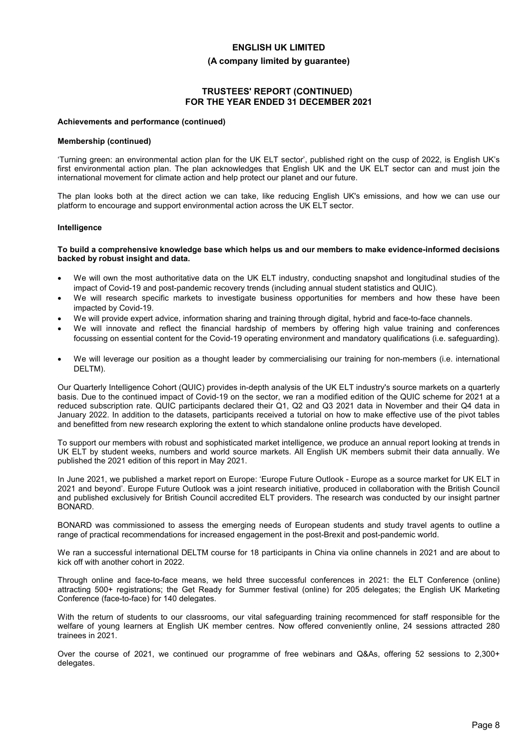#### **(A company limited by guarantee)**

## **TRUSTEES' REPORT (CONTINUED) FOR THE YEAR ENDED 31 DECEMBER 2021**

#### **Achievements and performance (continued)**

#### **Membership (continued)**

'Turning green: an environmental action plan for the UK ELT sector', published right on the cusp of 2022, is English UK's first environmental action plan. The plan acknowledges that English UK and the UK ELT sector can and must join the international movement for climate action and help protect our planet and our future.

The plan looks both at the direct action we can take, like reducing English UK's emissions, and how we can use our platform to encourage and support environmental action across the UK ELT sector.

#### **Intelligence**

#### **To build a comprehensive knowledge base which helps us and our members to make evidence-informed decisions backed by robust insight and data.**

- We will own the most authoritative data on the UK ELT industry, conducting snapshot and longitudinal studies of the impact of Covid-19 and post-pandemic recovery trends (including annual student statistics and QUIC).
- We will research specific markets to investigate business opportunities for members and how these have been impacted by Covid-19.
- We will provide expert advice, information sharing and training through digital, hybrid and face-to-face channels.
- We will innovate and reflect the financial hardship of members by offering high value training and conferences focussing on essential content for the Covid-19 operating environment and mandatory qualifications (i.e. safeguarding).
- We will leverage our position as a thought leader by commercialising our training for non-members (i.e. international DELTM).

Our Quarterly Intelligence Cohort (QUIC) provides in-depth analysis of the UK ELT industry's source markets on a quarterly basis. Due to the continued impact of Covid-19 on the sector, we ran a modified edition of the QUIC scheme for 2021 at a reduced subscription rate. QUIC participants declared their Q1, Q2 and Q3 2021 data in November and their Q4 data in January 2022. In addition to the datasets, participants received a tutorial on how to make effective use of the pivot tables and benefitted from new research exploring the extent to which standalone online products have developed.

To support our members with robust and sophisticated market intelligence, we produce an annual report looking at trends in UK ELT by student weeks, numbers and world source markets. All English UK members submit their data annually. We published the 2021 edition of this report in May 2021.

In June 2021, we published a market report on Europe: 'Europe Future Outlook - Europe as a source market for UK ELT in 2021 and beyond'. Europe Future Outlook was a joint research initiative, produced in collaboration with the British Council and published exclusively for British Council accredited ELT providers. The research was conducted by our insight partner BONARD.

BONARD was commissioned to assess the emerging needs of European students and study travel agents to outline a range of practical recommendations for increased engagement in the post-Brexit and post-pandemic world.

We ran a successful international DELTM course for 18 participants in China via online channels in 2021 and are about to kick off with another cohort in 2022.

Through online and face-to-face means, we held three successful conferences in 2021: the ELT Conference (online) attracting 500+ registrations; the Get Ready for Summer festival (online) for 205 delegates; the English UK Marketing Conference (face-to-face) for 140 delegates.

With the return of students to our classrooms, our vital safeguarding training recommenced for staff responsible for the welfare of young learners at English UK member centres. Now offered conveniently online, 24 sessions attracted 280 trainees in 2021.

Over the course of 2021, we continued our programme of free webinars and Q&As, offering 52 sessions to 2,300+ delegates.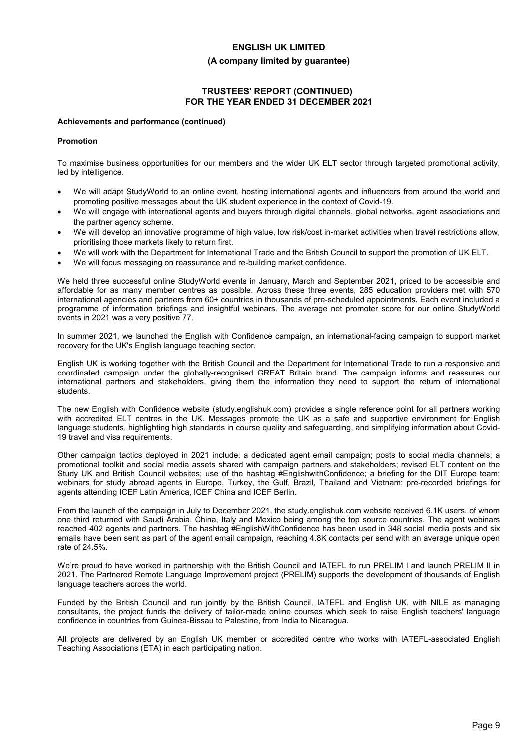#### **(A company limited by guarantee)**

## **TRUSTEES' REPORT (CONTINUED) FOR THE YEAR ENDED 31 DECEMBER 2021**

#### **Achievements and performance (continued)**

#### **Promotion**

To maximise business opportunities for our members and the wider UK ELT sector through targeted promotional activity, led by intelligence.

- We will adapt StudyWorld to an online event, hosting international agents and influencers from around the world and promoting positive messages about the UK student experience in the context of Covid-19.
- We will engage with international agents and buyers through digital channels, global networks, agent associations and the partner agency scheme.
- We will develop an innovative programme of high value, low risk/cost in-market activities when travel restrictions allow, prioritising those markets likely to return first.
- We will work with the Department for International Trade and the British Council to support the promotion of UK ELT.
- We will focus messaging on reassurance and re-building market confidence.

We held three successful online StudyWorld events in January, March and September 2021, priced to be accessible and affordable for as many member centres as possible. Across these three events, 285 education providers met with 570 international agencies and partners from 60+ countries in thousands of pre-scheduled appointments. Each event included a programme of information briefings and insightful webinars. The average net promoter score for our online StudyWorld events in 2021 was a very positive 77.

In summer 2021, we launched the English with Confidence campaign, an international-facing campaign to support market recovery for the UK's English language teaching sector.

English UK is working together with the British Council and the Department for International Trade to run a responsive and coordinated campaign under the globally-recognised GREAT Britain brand. The campaign informs and reassures our international partners and stakeholders, giving them the information they need to support the return of international students.

The new English with Confidence website (study.englishuk.com) provides a single reference point for all partners working with accredited ELT centres in the UK. Messages promote the UK as a safe and supportive environment for English language students, highlighting high standards in course quality and safeguarding, and simplifying information about Covid-19 travel and visa requirements.

Other campaign tactics deployed in 2021 include: a dedicated agent email campaign; posts to social media channels; a promotional toolkit and social media assets shared with campaign partners and stakeholders; revised ELT content on the Study UK and British Council websites; use of the hashtag #EnglishwithConfidence; a briefing for the DIT Europe team; webinars for study abroad agents in Europe, Turkey, the Gulf, Brazil, Thailand and Vietnam; pre-recorded briefings for agents attending ICEF Latin America, ICEF China and ICEF Berlin.

From the launch of the campaign in July to December 2021, the study.englishuk.com website received 6.1K users, of whom one third returned with Saudi Arabia, China, Italy and Mexico being among the top source countries. The agent webinars reached 402 agents and partners. The hashtag #EnglishWithConfidence has been used in 348 social media posts and six emails have been sent as part of the agent email campaign, reaching 4.8K contacts per send with an average unique open rate of 24.5%.

We're proud to have worked in partnership with the British Council and IATEFL to run PRELIM I and launch PRELIM II in 2021. The Partnered Remote Language Improvement project (PRELIM) supports the development of thousands of English language teachers across the world.

Funded by the British Council and run jointly by the British Council, IATEFL and English UK, with NILE as managing consultants, the project funds the delivery of tailor-made online courses which seek to raise English teachers' language confidence in countries from Guinea-Bissau to Palestine, from India to Nicaragua.

All projects are delivered by an English UK member or accredited centre who works with IATEFL-associated English Teaching Associations (ETA) in each participating nation.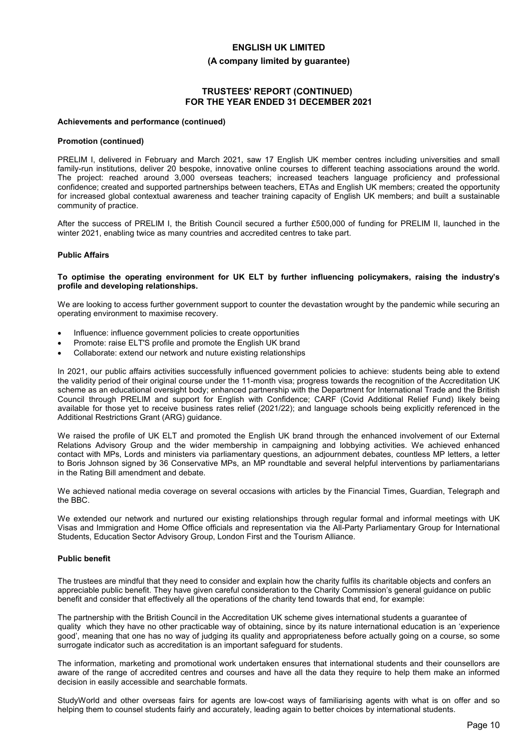#### **(A company limited by guarantee)**

## **TRUSTEES' REPORT (CONTINUED) FOR THE YEAR ENDED 31 DECEMBER 2021**

#### **Achievements and performance (continued)**

#### **Promotion (continued)**

PRELIM I, delivered in February and March 2021, saw 17 English UK member centres including universities and small family-run institutions, deliver 20 bespoke, innovative online courses to different teaching associations around the world. The project: reached around 3,000 overseas teachers; increased teachers language proficiency and professional confidence; created and supported partnerships between teachers, ETAs and English UK members; created the opportunity for increased global contextual awareness and teacher training capacity of English UK members; and built a sustainable community of practice.

After the success of PRELIM I, the British Council secured a further £500,000 of funding for PRELIM II, launched in the winter 2021, enabling twice as many countries and accredited centres to take part.

#### **Public Affairs**

#### **To optimise the operating environment for UK ELT by further influencing policymakers, raising the industry's profile and developing relationships.**

We are looking to access further government support to counter the devastation wrought by the pandemic while securing an operating environment to maximise recovery.

- Influence: influence government policies to create opportunities
- Promote: raise ELT'S profile and promote the English UK brand
- Collaborate: extend our network and nuture existing relationships

In 2021, our public affairs activities successfully influenced government policies to achieve: students being able to extend the validity period of their original course under the 11-month visa; progress towards the recognition of the Accreditation UK scheme as an educational oversight body; enhanced partnership with the Department for International Trade and the British Council through PRELIM and support for English with Confidence; CARF (Covid Additional Relief Fund) likely being available for those yet to receive business rates relief (2021/22); and language schools being explicitly referenced in the Additional Restrictions Grant (ARG) guidance.

We raised the profile of UK ELT and promoted the English UK brand through the enhanced involvement of our External Relations Advisory Group and the wider membership in campaigning and lobbying activities. We achieved enhanced contact with MPs, Lords and ministers via parliamentary questions, an adjournment debates, countless MP letters, a letter to Boris Johnson signed by 36 Conservative MPs, an MP roundtable and several helpful interventions by parliamentarians in the Rating Bill amendment and debate.

We achieved national media coverage on several occasions with articles by the Financial Times, Guardian, Telegraph and the BBC.

We extended our network and nurtured our existing relationships through regular formal and informal meetings with UK Visas and Immigration and Home Office officials and representation via the All-Party Parliamentary Group for International Students, Education Sector Advisory Group, London First and the Tourism Alliance.

### **Public benefit**

The trustees are mindful that they need to consider and explain how the charity fulfils its charitable objects and confers an appreciable public benefit. They have given careful consideration to the Charity Commission's general guidance on public benefit and consider that effectively all the operations of the charity tend towards that end, for example:

The partnership with the British Council in the Accreditation UK scheme gives international students a guarantee of quality which they have no other practicable way of obtaining, since by its nature international education is an 'experience good', meaning that one has no way of judging its quality and appropriateness before actually going on a course, so some surrogate indicator such as accreditation is an important safeguard for students.

The information, marketing and promotional work undertaken ensures that international students and their counsellors are aware of the range of accredited centres and courses and have all the data they require to help them make an informed decision in easily accessible and searchable formats.

StudyWorld and other overseas fairs for agents are low-cost ways of familiarising agents with what is on offer and so helping them to counsel students fairly and accurately, leading again to better choices by international students.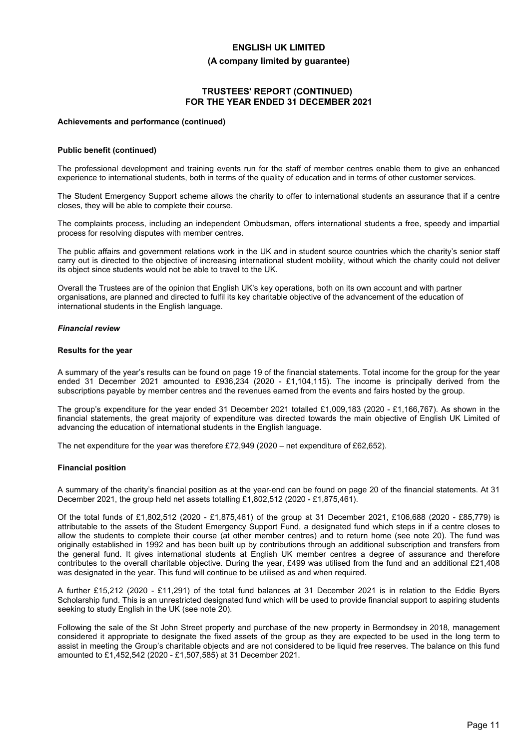#### **(A company limited by guarantee)**

## **TRUSTEES' REPORT (CONTINUED) FOR THE YEAR ENDED 31 DECEMBER 2021**

#### **Achievements and performance (continued)**

#### **Public benefit (continued)**

The professional development and training events run for the staff of member centres enable them to give an enhanced experience to international students, both in terms of the quality of education and in terms of other customer services.

The Student Emergency Support scheme allows the charity to offer to international students an assurance that if a centre closes, they will be able to complete their course.

The complaints process, including an independent Ombudsman, offers international students a free, speedy and impartial process for resolving disputes with member centres.

The public affairs and government relations work in the UK and in student source countries which the charity's senior staff carry out is directed to the objective of increasing international student mobility, without which the charity could not deliver its object since students would not be able to travel to the UK.

Overall the Trustees are of the opinion that English UK's key operations, both on its own account and with partner organisations, are planned and directed to fulfil its key charitable objective of the advancement of the education of international students in the English language.

### *Financial review*

#### **Results for the year**

A summary of the year's results can be found on page 19 of the financial statements. Total income for the group for the year ended 31 December 2021 amounted to £936,234 (2020 - £1,104,115). The income is principally derived from the subscriptions payable by member centres and the revenues earned from the events and fairs hosted by the group.

The group's expenditure for the year ended 31 December 2021 totalled £1,009,183 (2020 - £1,166,767). As shown in the financial statements, the great majority of expenditure was directed towards the main objective of English UK Limited of advancing the education of international students in the English language.

The net expenditure for the year was therefore £72,949 (2020 – net expenditure of £62,652).

#### **Financial position**

A summary of the charity's financial position as at the year-end can be found on page 20 of the financial statements. At 31 December 2021, the group held net assets totalling £1,802,512 (2020 - £1,875,461).

Of the total funds of £1,802,512 (2020 - £1,875,461) of the group at 31 December 2021, £106,688 (2020 - £85,779) is attributable to the assets of the Student Emergency Support Fund, a designated fund which steps in if a centre closes to allow the students to complete their course (at other member centres) and to return home (see note 20). The fund was originally established in 1992 and has been built up by contributions through an additional subscription and transfers from the general fund. It gives international students at English UK member centres a degree of assurance and therefore contributes to the overall charitable objective. During the year, £499 was utilised from the fund and an additional £21,408 was designated in the year. This fund will continue to be utilised as and when required.

A further £15,212 (2020 - £11,291) of the total fund balances at 31 December 2021 is in relation to the Eddie Byers Scholarship fund. This is an unrestricted designated fund which will be used to provide financial support to aspiring students seeking to study English in the UK (see note 20).

Following the sale of the St John Street property and purchase of the new property in Bermondsey in 2018, management considered it appropriate to designate the fixed assets of the group as they are expected to be used in the long term to assist in meeting the Group's charitable objects and are not considered to be liquid free reserves. The balance on this fund amounted to £1,452,542 (2020 - £1,507,585) at 31 December 2021.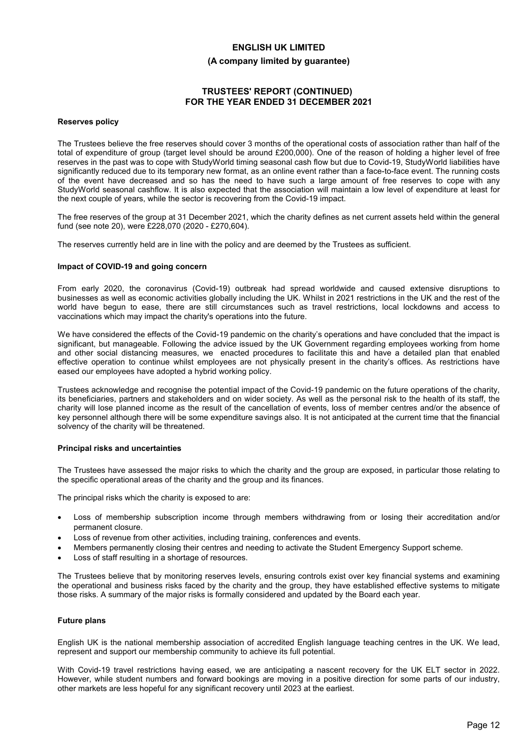### **(A company limited by guarantee)**

## **TRUSTEES' REPORT (CONTINUED) FOR THE YEAR ENDED 31 DECEMBER 2021**

#### **Reserves policy**

The Trustees believe the free reserves should cover 3 months of the operational costs of association rather than half of the total of expenditure of group (target level should be around £200,000). One of the reason of holding a higher level of free reserves in the past was to cope with StudyWorld timing seasonal cash flow but due to Covid-19, StudyWorld liabilities have significantly reduced due to its temporary new format, as an online event rather than a face-to-face event. The running costs of the event have decreased and so has the need to have such a large amount of free reserves to cope with any StudyWorld seasonal cashflow. It is also expected that the association will maintain a low level of expenditure at least for the next couple of years, while the sector is recovering from the Covid-19 impact.

The free reserves of the group at 31 December 2021, which the charity defines as net current assets held within the general fund (see note 20), were £228,070 (2020 - £270,604).

The reserves currently held are in line with the policy and are deemed by the Trustees as sufficient.

#### **Impact of COVID-19 and going concern**

From early 2020, the coronavirus (Covid-19) outbreak had spread worldwide and caused extensive disruptions to businesses as well as economic activities globally including the UK. Whilst in 2021 restrictions in the UK and the rest of the world have begun to ease, there are still circumstances such as travel restrictions, local lockdowns and access to vaccinations which may impact the charity's operations into the future.

We have considered the effects of the Covid-19 pandemic on the charity's operations and have concluded that the impact is significant, but manageable. Following the advice issued by the UK Government regarding employees working from home and other social distancing measures, we enacted procedures to facilitate this and have a detailed plan that enabled effective operation to continue whilst employees are not physically present in the charity's offices. As restrictions have eased our employees have adopted a hybrid working policy.

Trustees acknowledge and recognise the potential impact of the Covid-19 pandemic on the future operations of the charity, its beneficiaries, partners and stakeholders and on wider society. As well as the personal risk to the health of its staff, the charity will lose planned income as the result of the cancellation of events, loss of member centres and/or the absence of key personnel although there will be some expenditure savings also. It is not anticipated at the current time that the financial solvency of the charity will be threatened.

#### **Principal risks and uncertainties**

The Trustees have assessed the major risks to which the charity and the group are exposed, in particular those relating to the specific operational areas of the charity and the group and its finances.

The principal risks which the charity is exposed to are:

- Loss of membership subscription income through members withdrawing from or losing their accreditation and/or permanent closure.
- Loss of revenue from other activities, including training, conferences and events.
- Members permanently closing their centres and needing to activate the Student Emergency Support scheme.
- Loss of staff resulting in a shortage of resources.

The Trustees believe that by monitoring reserves levels, ensuring controls exist over key financial systems and examining the operational and business risks faced by the charity and the group, they have established effective systems to mitigate those risks. A summary of the major risks is formally considered and updated by the Board each year.

#### **Future plans**

English UK is the national membership association of accredited English language teaching centres in the UK. We lead, represent and support our membership community to achieve its full potential.

With Covid-19 travel restrictions having eased, we are anticipating a nascent recovery for the UK ELT sector in 2022. However, while student numbers and forward bookings are moving in a positive direction for some parts of our industry, other markets are less hopeful for any significant recovery until 2023 at the earliest.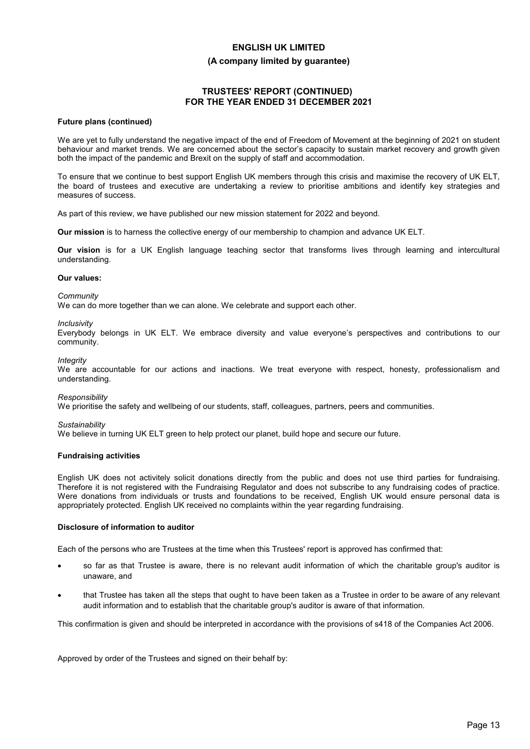#### **(A company limited by guarantee)**

## **TRUSTEES' REPORT (CONTINUED) FOR THE YEAR ENDED 31 DECEMBER 2021**

#### **Future plans (continued)**

We are yet to fully understand the negative impact of the end of Freedom of Movement at the beginning of 2021 on student behaviour and market trends. We are concerned about the sector's capacity to sustain market recovery and growth given both the impact of the pandemic and Brexit on the supply of staff and accommodation.

To ensure that we continue to best support English UK members through this crisis and maximise the recovery of UK ELT, the board of trustees and executive are undertaking a review to prioritise ambitions and identify key strategies and measures of success.

As part of this review, we have published our new mission statement for 2022 and beyond.

**Our mission** is to harness the collective energy of our membership to champion and advance UK ELT.

**Our vision** is for a UK English language teaching sector that transforms lives through learning and intercultural understanding.

#### **Our values:**

*Community*

We can do more together than we can alone. We celebrate and support each other.

*Inclusivity*

Everybody belongs in UK ELT. We embrace diversity and value everyone's perspectives and contributions to our community.

*Integrity*

We are accountable for our actions and inactions. We treat everyone with respect, honesty, professionalism and understanding.

*Responsibility*

We prioritise the safety and wellbeing of our students, staff, colleagues, partners, peers and communities.

*Sustainability*

We believe in turning UK ELT green to help protect our planet, build hope and secure our future.

#### **Fundraising activities**

English UK does not activitely solicit donations directly from the public and does not use third parties for fundraising. Therefore it is not registered with the Fundraising Regulator and does not subscribe to any fundraising codes of practice. Were donations from individuals or trusts and foundations to be received, English UK would ensure personal data is appropriately protected. English UK received no complaints within the year regarding fundraising.

#### **Disclosure of information to auditor**

Each of the persons who are Trustees at the time when this Trustees' report is approved has confirmed that:

- so far as that Trustee is aware, there is no relevant audit information of which the charitable group's auditor is unaware, and
- that Trustee has taken all the steps that ought to have been taken as a Trustee in order to be aware of any relevant audit information and to establish that the charitable group's auditor is aware of that information.

This confirmation is given and should be interpreted in accordance with the provisions of s418 of the Companies Act 2006.

Approved by order of the Trustees and signed on their behalf by: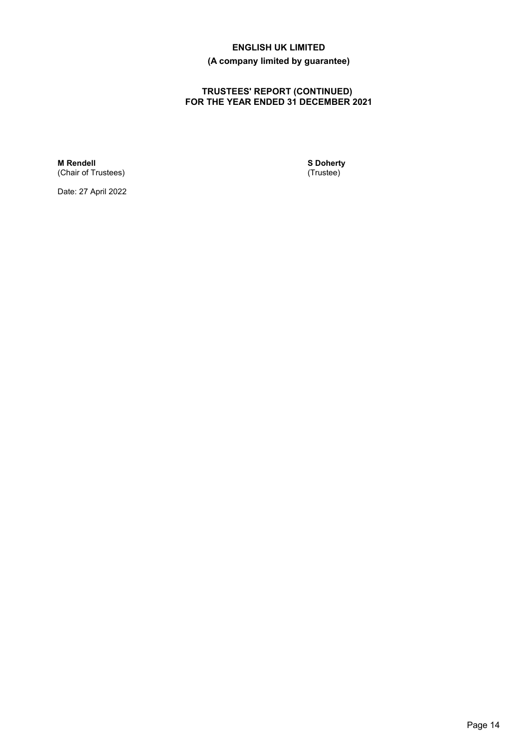## **(A company limited by guarantee)**

## **TRUSTEES' REPORT (CONTINUED) FOR THE YEAR ENDED 31 DECEMBER 2021**

**M Rendell** (Chair of Trustees) **S Doherty** (Trustee)

Date: 27 April 2022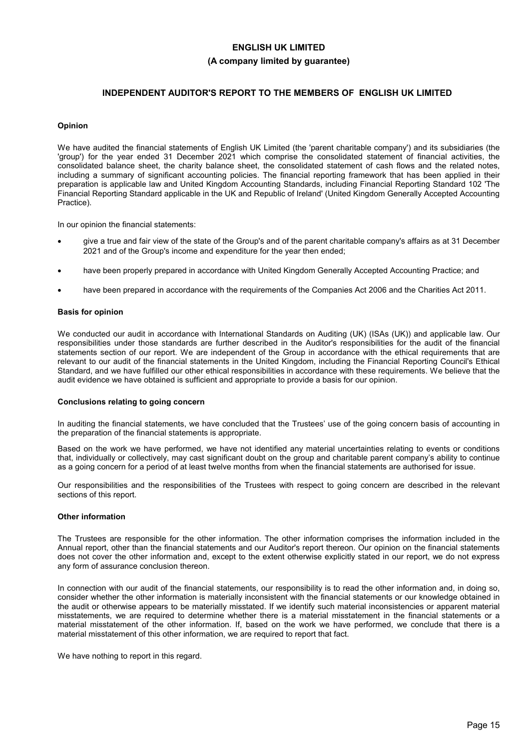## **INDEPENDENT AUDITOR'S REPORT TO THE MEMBERS OF ENGLISH UK LIMITED**

### **Opinion**

We have audited the financial statements of English UK Limited (the 'parent charitable company') and its subsidiaries (the 'group') for the year ended 31 December 2021 which comprise the consolidated statement of financial activities, the consolidated balance sheet, the charity balance sheet, the consolidated statement of cash flows and the related notes, including a summary of significant accounting policies. The financial reporting framework that has been applied in their preparation is applicable law and United Kingdom Accounting Standards, including Financial Reporting Standard 102 'The Financial Reporting Standard applicable in the UK and Republic of Ireland' (United Kingdom Generally Accepted Accounting Practice).

In our opinion the financial statements:

- give a true and fair view of the state of the Group's and of the parent charitable company's affairs as at 31 December 2021 and of the Group's income and expenditure for the year then ended;
- have been properly prepared in accordance with United Kingdom Generally Accepted Accounting Practice; and
- have been prepared in accordance with the requirements of the Companies Act 2006 and the Charities Act 2011.

#### **Basis for opinion**

We conducted our audit in accordance with International Standards on Auditing (UK) (ISAs (UK)) and applicable law. Our responsibilities under those standards are further described in the Auditor's responsibilities for the audit of the financial statements section of our report. We are independent of the Group in accordance with the ethical requirements that are relevant to our audit of the financial statements in the United Kingdom, including the Financial Reporting Council's Ethical Standard, and we have fulfilled our other ethical responsibilities in accordance with these requirements. We believe that the audit evidence we have obtained is sufficient and appropriate to provide a basis for our opinion.

#### **Conclusions relating to going concern**

In auditing the financial statements, we have concluded that the Trustees' use of the going concern basis of accounting in the preparation of the financial statements is appropriate.

Based on the work we have performed, we have not identified any material uncertainties relating to events or conditions that, individually or collectively, may cast significant doubt on the group and charitable parent company's ability to continue as a going concern for a period of at least twelve months from when the financial statements are authorised for issue.

Our responsibilities and the responsibilities of the Trustees with respect to going concern are described in the relevant sections of this report.

#### **Other information**

The Trustees are responsible for the other information. The other information comprises the information included in the Annual report, other than the financial statements and our Auditor's report thereon. Our opinion on the financial statements does not cover the other information and, except to the extent otherwise explicitly stated in our report, we do not express any form of assurance conclusion thereon.

In connection with our audit of the financial statements, our responsibility is to read the other information and, in doing so, consider whether the other information is materially inconsistent with the financial statements or our knowledge obtained in the audit or otherwise appears to be materially misstated. If we identify such material inconsistencies or apparent material misstatements, we are required to determine whether there is a material misstatement in the financial statements or a material misstatement of the other information. If, based on the work we have performed, we conclude that there is a material misstatement of this other information, we are required to report that fact.

We have nothing to report in this regard.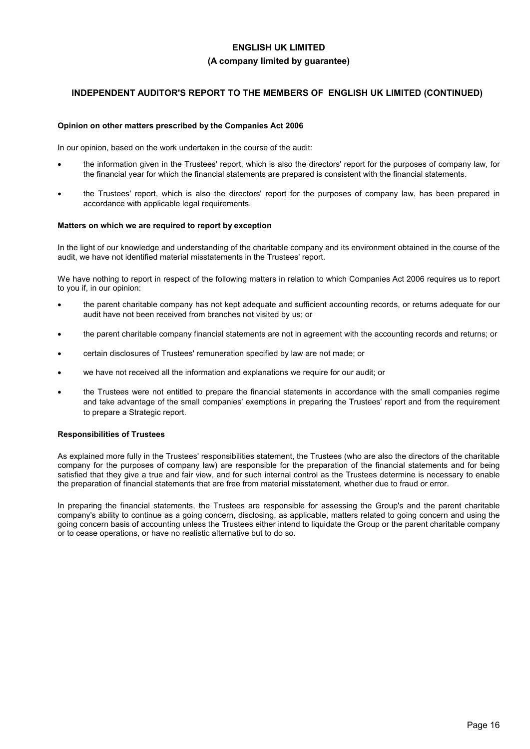## **INDEPENDENT AUDITOR'S REPORT TO THE MEMBERS OF ENGLISH UK LIMITED (CONTINUED)**

### **Opinion on other matters prescribed by the Companies Act 2006**

In our opinion, based on the work undertaken in the course of the audit:

- the information given in the Trustees' report, which is also the directors' report for the purposes of company law, for the financial year for which the financial statements are prepared is consistent with the financial statements.
- the Trustees' report, which is also the directors' report for the purposes of company law, has been prepared in accordance with applicable legal requirements.

#### **Matters on which we are required to report by exception**

In the light of our knowledge and understanding of the charitable company and its environment obtained in the course of the audit, we have not identified material misstatements in the Trustees' report.

We have nothing to report in respect of the following matters in relation to which Companies Act 2006 requires us to report to you if, in our opinion:

- the parent charitable company has not kept adequate and sufficient accounting records, or returns adequate for our audit have not been received from branches not visited by us; or
- the parent charitable company financial statements are not in agreement with the accounting records and returns; or
- certain disclosures of Trustees' remuneration specified by law are not made; or
- we have not received all the information and explanations we require for our audit; or
- the Trustees were not entitled to prepare the financial statements in accordance with the small companies regime and take advantage of the small companies' exemptions in preparing the Trustees' report and from the requirement to prepare a Strategic report.

### **Responsibilities of Trustees**

As explained more fully in the Trustees' responsibilities statement, the Trustees (who are also the directors of the charitable company for the purposes of company law) are responsible for the preparation of the financial statements and for being satisfied that they give a true and fair view, and for such internal control as the Trustees determine is necessary to enable the preparation of financial statements that are free from material misstatement, whether due to fraud or error.

In preparing the financial statements, the Trustees are responsible for assessing the Group's and the parent charitable company's ability to continue as a going concern, disclosing, as applicable, matters related to going concern and using the going concern basis of accounting unless the Trustees either intend to liquidate the Group or the parent charitable company or to cease operations, or have no realistic alternative but to do so.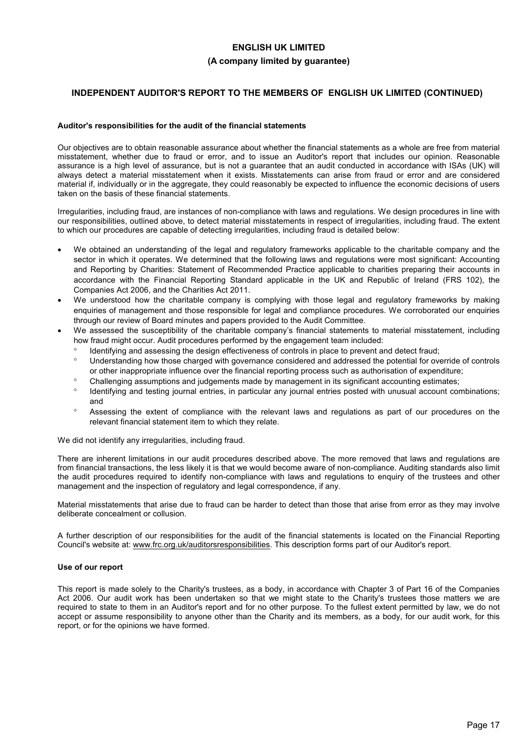## **INDEPENDENT AUDITOR'S REPORT TO THE MEMBERS OF ENGLISH UK LIMITED (CONTINUED)**

#### **Auditor's responsibilities for the audit of the financial statements**

Our objectives are to obtain reasonable assurance about whether the financial statements as a whole are free from material misstatement, whether due to fraud or error, and to issue an Auditor's report that includes our opinion. Reasonable assurance is a high level of assurance, but is not a guarantee that an audit conducted in accordance with ISAs (UK) will always detect a material misstatement when it exists. Misstatements can arise from fraud or error and are considered material if, individually or in the aggregate, they could reasonably be expected to influence the economic decisions of users taken on the basis of these financial statements.

Irregularities, including fraud, are instances of non-compliance with laws and regulations. We design procedures in line with our responsibilities, outlined above, to detect material misstatements in respect of irregularities, including fraud. The extent to which our procedures are capable of detecting irregularities, including fraud is detailed below:

- We obtained an understanding of the legal and regulatory frameworks applicable to the charitable company and the sector in which it operates. We determined that the following laws and regulations were most significant: Accounting and Reporting by Charities: Statement of Recommended Practice applicable to charities preparing their accounts in accordance with the Financial Reporting Standard applicable in the UK and Republic of Ireland (FRS 102), the Companies Act 2006, and the Charities Act 2011.
- We understood how the charitable company is complying with those legal and regulatory frameworks by making enquiries of management and those responsible for legal and compliance procedures. We corroborated our enquiries through our review of Board minutes and papers provided to the Audit Committee.
- We assessed the susceptibility of the charitable company's financial statements to material misstatement, including how fraud might occur. Audit procedures performed by the engagement team included:
	- Identifying and assessing the design effectiveness of controls in place to prevent and detect fraud;
	- Understanding how those charged with governance considered and addressed the potential for override of controls or other inappropriate influence over the financial reporting process such as authorisation of expenditure;
	- Challenging assumptions and judgements made by management in its significant accounting estimates;
	- <sup>o</sup> Identifying and testing journal entries, in particular any journal entries posted with unusual account combinations; and
	- Assessing the extent of compliance with the relevant laws and regulations as part of our procedures on the relevant financial statement item to which they relate.

We did not identify any irregularities, including fraud.

There are inherent limitations in our audit procedures described above. The more removed that laws and regulations are from financial transactions, the less likely it is that we would become aware of non-compliance. Auditing standards also limit the audit procedures required to identify non-compliance with laws and regulations to enquiry of the trustees and other management and the inspection of regulatory and legal correspondence, if any.

Material misstatements that arise due to fraud can be harder to detect than those that arise from error as they may involve deliberate concealment or collusion.

A further description of our responsibilities for the audit of the financial statements is located on the Financial Reporting Council's website at: www.frc.org.uk/auditorsresponsibilities. This description forms part of our Auditor's report.

#### **Use of our report**

This report is made solely to the Charity's trustees, as a body, in accordance with Chapter 3 of Part 16 of the Companies Act 2006. Our audit work has been undertaken so that we might state to the Charity's trustees those matters we are required to state to them in an Auditor's report and for no other purpose. To the fullest extent permitted by law, we do not accept or assume responsibility to anyone other than the Charity and its members, as a body, for our audit work, for this report, or for the opinions we have formed.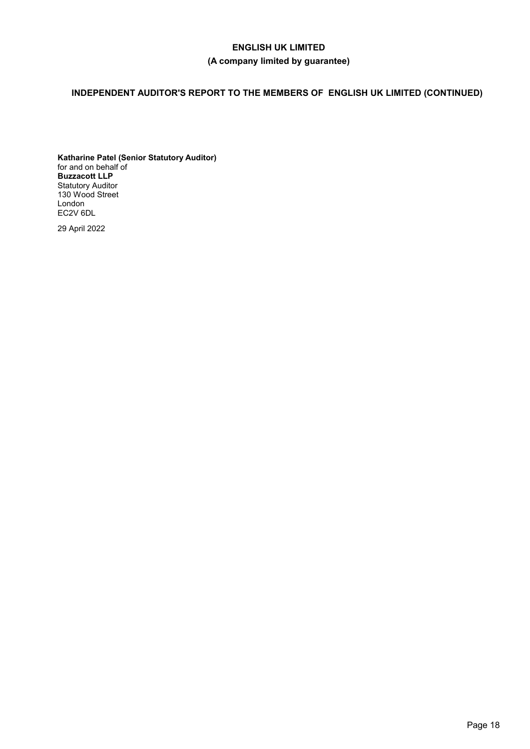# **INDEPENDENT AUDITOR'S REPORT TO THE MEMBERS OF ENGLISH UK LIMITED (CONTINUED)**

**Katharine Patel (Senior Statutory Auditor)** for and on behalf of **Buzzacott LLP** Statutory Auditor 130 Wood Street London EC2V 6DL

29 April 2022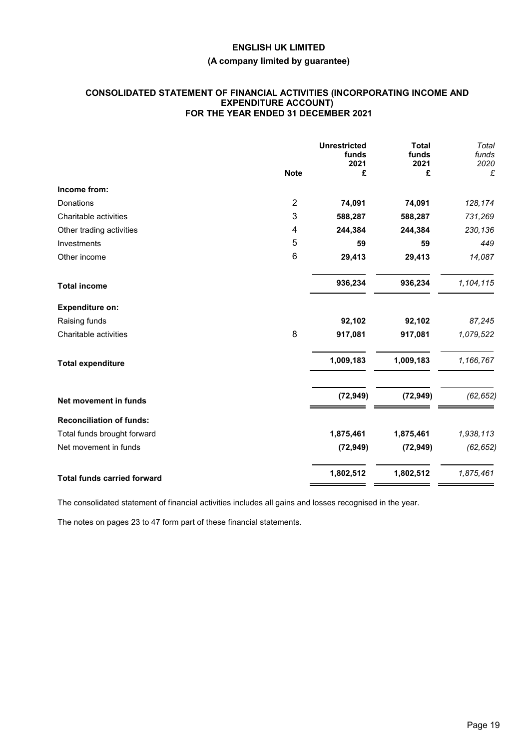## **(A company limited by guarantee)**

## **CONSOLIDATED STATEMENT OF FINANCIAL ACTIVITIES (INCORPORATING INCOME AND EXPENDITURE ACCOUNT) FOR THE YEAR ENDED 31 DECEMBER 2021**

|                                    |                | <b>Unrestricted</b><br>funds<br>2021 | <b>Total</b><br>funds<br>2021 | Total<br>funds<br>2020 |
|------------------------------------|----------------|--------------------------------------|-------------------------------|------------------------|
|                                    | <b>Note</b>    | £                                    | £                             | £                      |
| Income from:                       |                |                                      |                               |                        |
| Donations                          | $\overline{2}$ | 74,091                               | 74,091                        | 128,174                |
| Charitable activities              | 3              | 588,287                              | 588,287                       | 731,269                |
| Other trading activities           | 4              | 244,384                              | 244,384                       | 230,136                |
| Investments                        | 5              | 59                                   | 59                            | 449                    |
| Other income                       | 6              | 29,413                               | 29,413                        | 14,087                 |
| <b>Total income</b>                |                | 936,234                              | 936,234                       | 1,104,115              |
| <b>Expenditure on:</b>             |                |                                      |                               |                        |
| Raising funds                      |                | 92,102                               | 92,102                        | 87,245                 |
| Charitable activities              | 8              | 917,081                              | 917,081                       | 1,079,522              |
| <b>Total expenditure</b>           |                | 1,009,183                            | 1,009,183                     | 1,166,767              |
| Net movement in funds              |                | (72, 949)                            | (72, 949)                     | (62, 652)              |
| <b>Reconciliation of funds:</b>    |                |                                      |                               |                        |
| Total funds brought forward        |                | 1,875,461                            | 1,875,461                     | 1,938,113              |
| Net movement in funds              |                | (72, 949)                            | (72, 949)                     | (62, 652)              |
| <b>Total funds carried forward</b> |                | 1,802,512                            | 1,802,512                     | 1,875,461              |

The consolidated statement of financial activities includes all gains and losses recognised in the year.

The notes on pages 23 to 47 form part of these financial statements.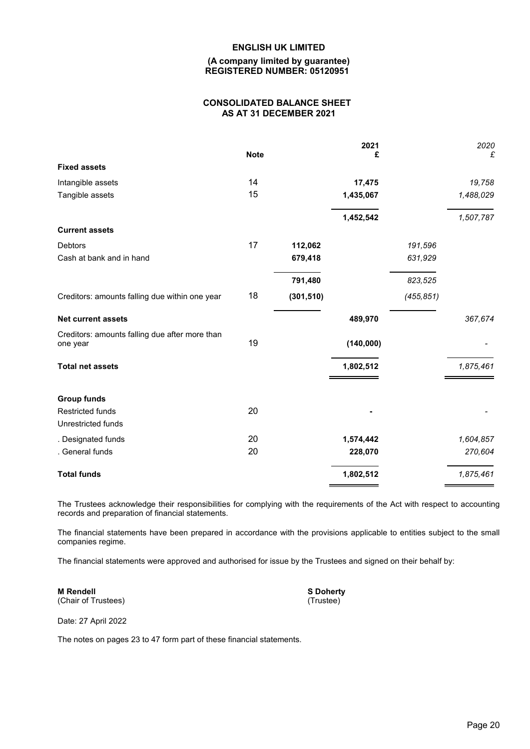### **(A company limited by guarantee) REGISTERED NUMBER: 05120951**

## **CONSOLIDATED BALANCE SHEET AS AT 31 DECEMBER 2021**

|                                                            | <b>Note</b> |            | 2021<br>£ |            | 2020<br>£ |
|------------------------------------------------------------|-------------|------------|-----------|------------|-----------|
| <b>Fixed assets</b>                                        |             |            |           |            |           |
|                                                            |             |            |           |            |           |
| Intangible assets                                          | 14          |            | 17,475    |            | 19,758    |
| Tangible assets                                            | 15          |            | 1,435,067 |            | 1,488,029 |
|                                                            |             |            | 1,452,542 |            | 1,507,787 |
| <b>Current assets</b>                                      |             |            |           |            |           |
| Debtors                                                    | 17          | 112,062    |           | 191,596    |           |
| Cash at bank and in hand                                   |             | 679,418    |           | 631,929    |           |
|                                                            |             | 791,480    |           | 823,525    |           |
| Creditors: amounts falling due within one year             | 18          | (301, 510) |           | (455, 851) |           |
| <b>Net current assets</b>                                  |             |            | 489,970   |            | 367,674   |
| Creditors: amounts falling due after more than<br>one year | 19          |            | (140,000) |            |           |
| <b>Total net assets</b>                                    |             |            | 1,802,512 |            | 1,875,461 |
| <b>Group funds</b>                                         |             |            |           |            |           |
| <b>Restricted funds</b>                                    | 20          |            |           |            |           |
| Unrestricted funds                                         |             |            |           |            |           |
| . Designated funds                                         | 20          |            | 1,574,442 |            | 1,604,857 |
| . General funds                                            | 20          |            | 228,070   |            | 270,604   |
| <b>Total funds</b>                                         |             |            | 1,802,512 |            | 1,875,461 |

The Trustees acknowledge their responsibilities for complying with the requirements of the Act with respect to accounting records and preparation of financial statements.

The financial statements have been prepared in accordance with the provisions applicable to entities subject to the small companies regime.

The financial statements were approved and authorised for issue by the Trustees and signed on their behalf by:

**M Rendell** (Chair of Trustees) **S Doherty** (Trustee)

Date: 27 April 2022

The notes on pages 23 to 47 form part of these financial statements.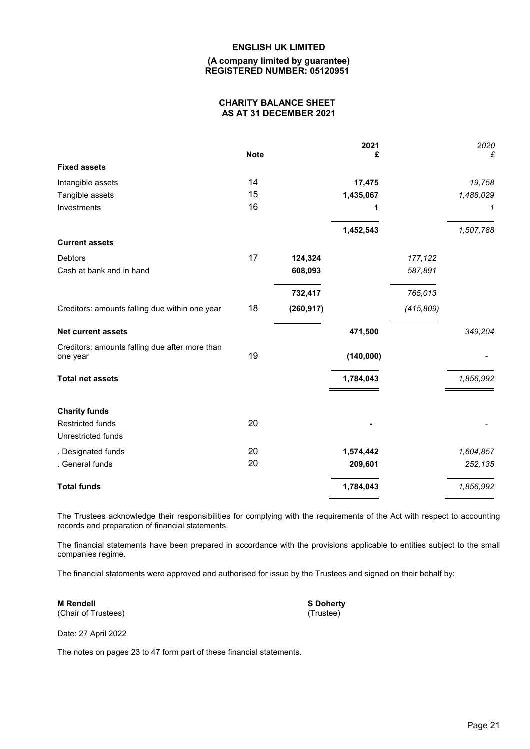### **(A company limited by guarantee) REGISTERED NUMBER: 05120951**

## **CHARITY BALANCE SHEET AS AT 31 DECEMBER 2021**

|                                                            | <b>Note</b> |            | 2021<br>£ |            | 2020<br>£ |
|------------------------------------------------------------|-------------|------------|-----------|------------|-----------|
| <b>Fixed assets</b>                                        |             |            |           |            |           |
| Intangible assets                                          | 14          |            | 17,475    |            | 19,758    |
| Tangible assets                                            | 15          |            | 1,435,067 |            | 1,488,029 |
| Investments                                                | 16          |            | 1         |            | 1         |
|                                                            |             |            | 1,452,543 |            | 1,507,788 |
| <b>Current assets</b>                                      |             |            |           |            |           |
| <b>Debtors</b>                                             | 17          | 124,324    |           | 177,122    |           |
| Cash at bank and in hand                                   |             | 608,093    |           | 587,891    |           |
|                                                            |             | 732,417    |           | 765,013    |           |
| Creditors: amounts falling due within one year             | 18          | (260, 917) |           | (415, 809) |           |
| <b>Net current assets</b>                                  |             |            | 471,500   |            | 349,204   |
| Creditors: amounts falling due after more than<br>one year | 19          |            | (140,000) |            |           |
| <b>Total net assets</b>                                    |             |            | 1,784,043 |            | 1,856,992 |
| <b>Charity funds</b>                                       |             |            |           |            |           |
| <b>Restricted funds</b>                                    | 20          |            |           |            |           |
| Unrestricted funds                                         |             |            |           |            |           |
| . Designated funds                                         | 20          |            | 1,574,442 |            | 1,604,857 |
| . General funds                                            | 20          |            | 209,601   |            | 252,135   |
| <b>Total funds</b>                                         |             |            | 1,784,043 |            | 1,856,992 |
|                                                            |             |            |           |            |           |

The Trustees acknowledge their responsibilities for complying with the requirements of the Act with respect to accounting records and preparation of financial statements.

The financial statements have been prepared in accordance with the provisions applicable to entities subject to the small companies regime.

The financial statements were approved and authorised for issue by the Trustees and signed on their behalf by:

**M Rendell** (Chair of Trustees) **S Doherty** (Trustee)

Date: 27 April 2022

The notes on pages 23 to 47 form part of these financial statements.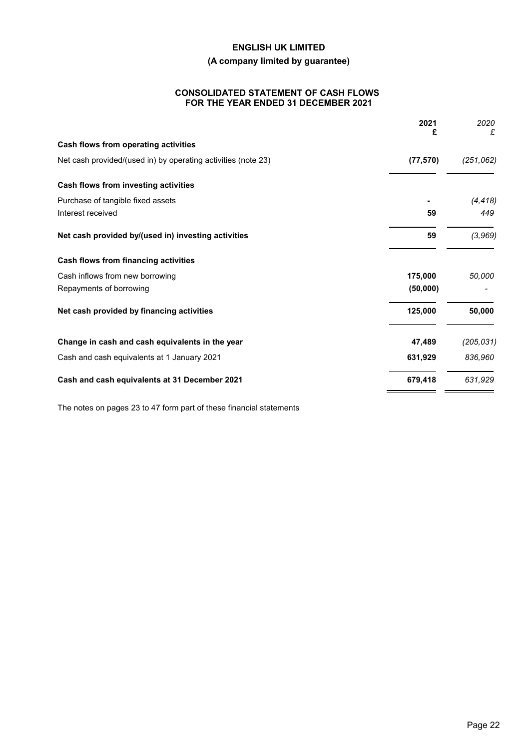## **(A company limited by guarantee)**

## **CONSOLIDATED STATEMENT OF CASH FLOWS FOR THE YEAR ENDED 31 DECEMBER 2021**

| 2021<br>£                                                                  | 2020<br>£  |
|----------------------------------------------------------------------------|------------|
| Cash flows from operating activities                                       |            |
| (77, 570)<br>Net cash provided/(used in) by operating activities (note 23) | (251, 062) |
| Cash flows from investing activities                                       |            |
| Purchase of tangible fixed assets                                          | (4, 418)   |
| Interest received<br>59                                                    | 449        |
| 59<br>Net cash provided by/(used in) investing activities                  | (3, 969)   |
| Cash flows from financing activities                                       |            |
| 175,000<br>Cash inflows from new borrowing                                 | 50,000     |
| Repayments of borrowing<br>(50,000)                                        |            |
| 125,000<br>Net cash provided by financing activities                       | 50,000     |
| 47,489<br>Change in cash and cash equivalents in the year                  | (205, 031) |
| 631,929<br>Cash and cash equivalents at 1 January 2021                     | 836,960    |
| 679,418<br>Cash and cash equivalents at 31 December 2021                   | 631,929    |

The notes on pages 23 to 47 form part of these financial statements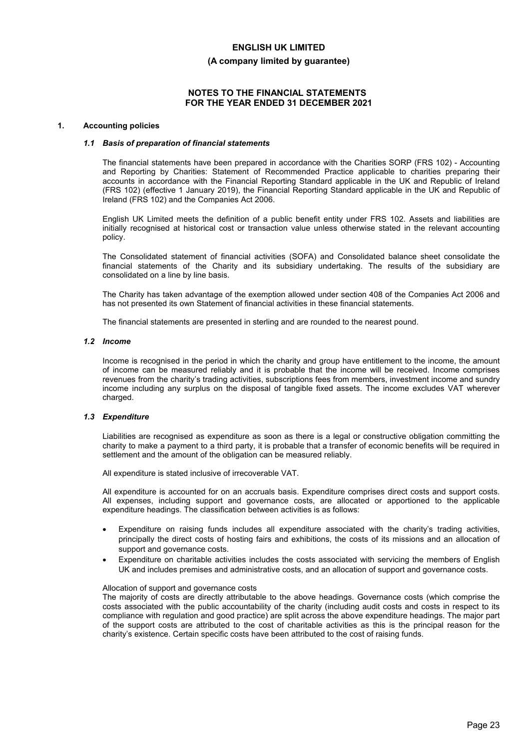#### **(A company limited by guarantee)**

### **NOTES TO THE FINANCIAL STATEMENTS FOR THE YEAR ENDED 31 DECEMBER 2021**

#### **1. Accounting policies**

#### *1.1 Basis of preparation of financial statements*

The financial statements have been prepared in accordance with the Charities SORP (FRS 102) - Accounting and Reporting by Charities: Statement of Recommended Practice applicable to charities preparing their accounts in accordance with the Financial Reporting Standard applicable in the UK and Republic of Ireland (FRS 102) (effective 1 January 2019), the Financial Reporting Standard applicable in the UK and Republic of Ireland (FRS 102) and the Companies Act 2006.

English UK Limited meets the definition of a public benefit entity under FRS 102. Assets and liabilities are initially recognised at historical cost or transaction value unless otherwise stated in the relevant accounting policy.

The Consolidated statement of financial activities (SOFA) and Consolidated balance sheet consolidate the financial statements of the Charity and its subsidiary undertaking. The results of the subsidiary are consolidated on a line by line basis.

The Charity has taken advantage of the exemption allowed under section 408 of the Companies Act 2006 and has not presented its own Statement of financial activities in these financial statements.

The financial statements are presented in sterling and are rounded to the nearest pound.

#### *1.2 Income*

Income is recognised in the period in which the charity and group have entitlement to the income, the amount of income can be measured reliably and it is probable that the income will be received. Income comprises revenues from the charity's trading activities, subscriptions fees from members, investment income and sundry income including any surplus on the disposal of tangible fixed assets. The income excludes VAT wherever charged.

#### *1.3 Expenditure*

Liabilities are recognised as expenditure as soon as there is a legal or constructive obligation committing the charity to make a payment to a third party, it is probable that a transfer of economic benefits will be required in settlement and the amount of the obligation can be measured reliably.

All expenditure is stated inclusive of irrecoverable VAT.

All expenditure is accounted for on an accruals basis. Expenditure comprises direct costs and support costs. All expenses, including support and governance costs, are allocated or apportioned to the applicable expenditure headings. The classification between activities is as follows:

- Expenditure on raising funds includes all expenditure associated with the charity's trading activities, principally the direct costs of hosting fairs and exhibitions, the costs of its missions and an allocation of support and governance costs.
- Expenditure on charitable activities includes the costs associated with servicing the members of English UK and includes premises and administrative costs, and an allocation of support and governance costs.

#### Allocation of support and governance costs

The majority of costs are directly attributable to the above headings. Governance costs (which comprise the costs associated with the public accountability of the charity (including audit costs and costs in respect to its compliance with regulation and good practice) are split across the above expenditure headings. The major part of the support costs are attributed to the cost of charitable activities as this is the principal reason for the charity's existence. Certain specific costs have been attributed to the cost of raising funds.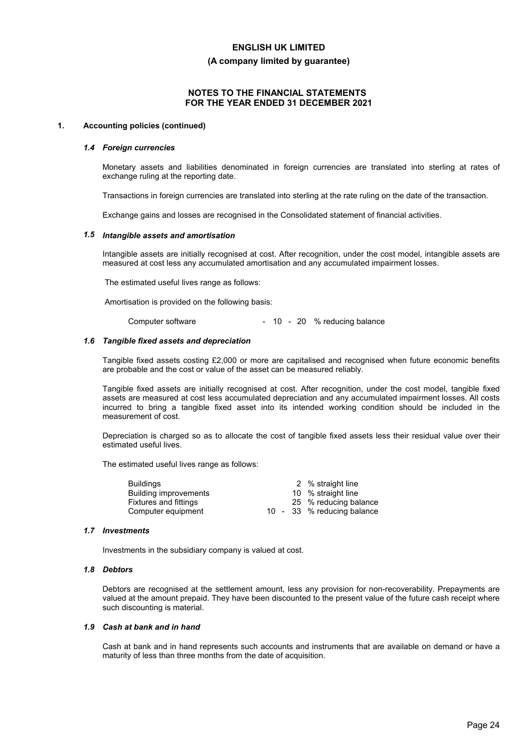**(A company limited by guarantee)**

## **NOTES TO THE FINANCIAL STATEMENTS FOR THE YEAR ENDED 31 DECEMBER 2021**

#### **1. Accounting policies (continued)**

#### *1.4 Foreign currencies*

Monetary assets and liabilities denominated in foreign currencies are translated into sterling at rates of exchange ruling at the reporting date.

Transactions in foreign currencies are translated into sterling at the rate ruling on the date of the transaction.

Exchange gains and losses are recognised in the Consolidated statement of financial activities.

#### *1.5 Intangible assets and amortisation*

Intangible assets are initially recognised at cost. After recognition, under the cost model, intangible assets are measured at cost less any accumulated amortisation and any accumulated impairment losses.

The estimated useful lives range as follows:

Amortisation is provided on the following basis:

| Computer software |  |  |  |  | - 10 - 20 % reducing balance |
|-------------------|--|--|--|--|------------------------------|
|-------------------|--|--|--|--|------------------------------|

#### *1.6 Tangible fixed assets and depreciation*

Tangible fixed assets costing £2,000 or more are capitalised and recognised when future economic benefits are probable and the cost or value of the asset can be measured reliably.

Tangible fixed assets are initially recognised at cost. After recognition, under the cost model, tangible fixed assets are measured at cost less accumulated depreciation and any accumulated impairment losses. All costs incurred to bring a tangible fixed asset into its intended working condition should be included in the measurement of cost.

Depreciation is charged so as to allocate the cost of tangible fixed assets less their residual value over their estimated useful lives.

The estimated useful lives range as follows:

| <b>Buildings</b>      |  | 2 % straight line          |
|-----------------------|--|----------------------------|
| Building improvements |  | 10 % straight line         |
| Fixtures and fittings |  | 25 % reducing balance      |
| Computer equipment    |  | 10 - 33 % reducing balance |

#### *1.7 Investments*

Investments in the subsidiary company is valued at cost.

#### *1.8 Debtors*

Debtors are recognised at the settlement amount, less any provision for non-recoverability. Prepayments are valued at the amount prepaid. They have been discounted to the present value of the future cash receipt where such discounting is material.

#### *1.9 Cash at bank and in hand*

Cash at bank and in hand represents such accounts and instruments that are available on demand or have a maturity of less than three months from the date of acquisition.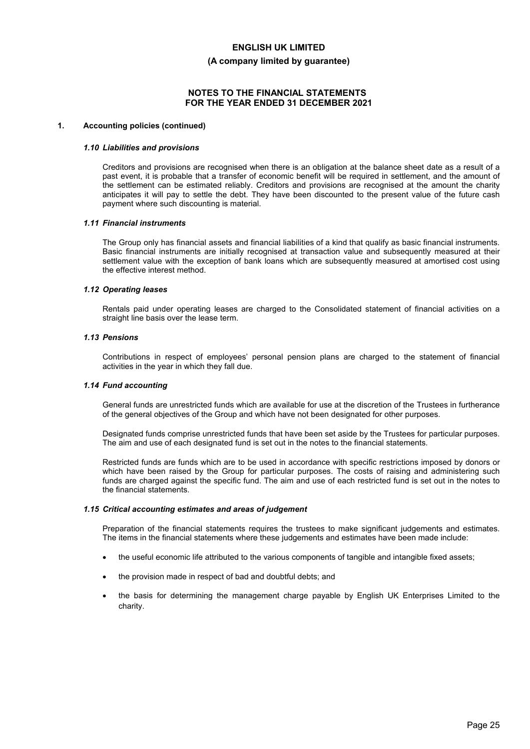#### **(A company limited by guarantee)**

### **NOTES TO THE FINANCIAL STATEMENTS FOR THE YEAR ENDED 31 DECEMBER 2021**

#### **1. Accounting policies (continued)**

#### *1.10 Liabilities and provisions*

Creditors and provisions are recognised when there is an obligation at the balance sheet date as a result of a past event, it is probable that a transfer of economic benefit will be required in settlement, and the amount of the settlement can be estimated reliably. Creditors and provisions are recognised at the amount the charity anticipates it will pay to settle the debt. They have been discounted to the present value of the future cash payment where such discounting is material.

#### *1.11 Financial instruments*

The Group only has financial assets and financial liabilities of a kind that qualify as basic financial instruments. Basic financial instruments are initially recognised at transaction value and subsequently measured at their settlement value with the exception of bank loans which are subsequently measured at amortised cost using the effective interest method.

#### *1.12 Operating leases*

Rentals paid under operating leases are charged to the Consolidated statement of financial activities on a straight line basis over the lease term.

### *1.13 Pensions*

Contributions in respect of employees' personal pension plans are charged to the statement of financial activities in the year in which they fall due.

### *1.14 Fund accounting*

General funds are unrestricted funds which are available for use at the discretion of the Trustees in furtherance of the general objectives of the Group and which have not been designated for other purposes.

Designated funds comprise unrestricted funds that have been set aside by the Trustees for particular purposes. The aim and use of each designated fund is set out in the notes to the financial statements.

Restricted funds are funds which are to be used in accordance with specific restrictions imposed by donors or which have been raised by the Group for particular purposes. The costs of raising and administering such funds are charged against the specific fund. The aim and use of each restricted fund is set out in the notes to the financial statements.

#### *1.15 Critical accounting estimates and areas of judgement*

Preparation of the financial statements requires the trustees to make significant judgements and estimates. The items in the financial statements where these judgements and estimates have been made include:

- the useful economic life attributed to the various components of tangible and intangible fixed assets;
- the provision made in respect of bad and doubtful debts; and
- the basis for determining the management charge payable by English UK Enterprises Limited to the charity.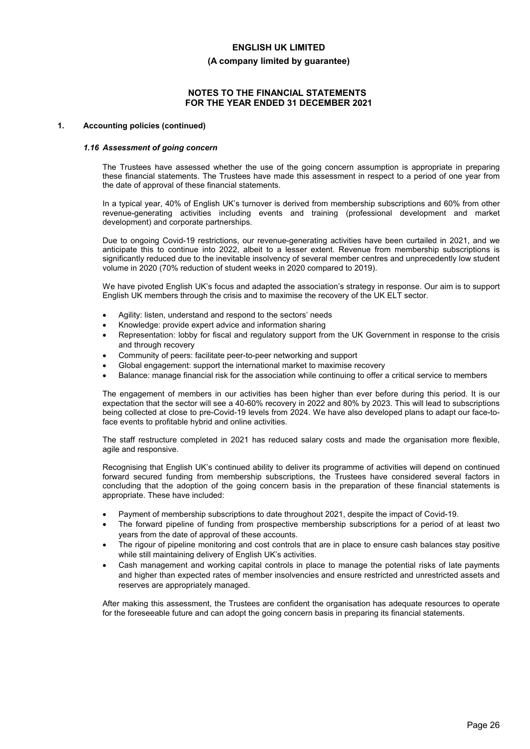#### **(A company limited by guarantee)**

### **NOTES TO THE FINANCIAL STATEMENTS FOR THE YEAR ENDED 31 DECEMBER 2021**

#### **1. Accounting policies (continued)**

#### *1.16 Assessment of going concern*

The Trustees have assessed whether the use of the going concern assumption is appropriate in preparing these financial statements. The Trustees have made this assessment in respect to a period of one year from the date of approval of these financial statements.

In a typical year, 40% of English UK's turnover is derived from membership subscriptions and 60% from other revenue-generating activities including events and training (professional development and market development) and corporate partnerships.

Due to ongoing Covid-19 restrictions, our revenue-generating activities have been curtailed in 2021, and we anticipate this to continue into 2022, albeit to a lesser extent. Revenue from membership subscriptions is significantly reduced due to the inevitable insolvency of several member centres and unprecedently low student volume in 2020 (70% reduction of student weeks in 2020 compared to 2019).

We have pivoted English UK's focus and adapted the association's strategy in response. Our aim is to support English UK members through the crisis and to maximise the recovery of the UK ELT sector.

- Agility: listen, understand and respond to the sectors' needs
- Knowledge: provide expert advice and information sharing
- Representation: lobby for fiscal and regulatory support from the UK Government in response to the crisis and through recovery
- Community of peers: facilitate peer-to-peer networking and support
- Global engagement: support the international market to maximise recovery
- Balance: manage financial risk for the association while continuing to offer a critical service to members

The engagement of members in our activities has been higher than ever before during this period. It is our expectation that the sector will see a 40-60% recovery in 2022 and 80% by 2023. This will lead to subscriptions being collected at close to pre-Covid-19 levels from 2024. We have also developed plans to adapt our face-toface events to profitable hybrid and online activities.

The staff restructure completed in 2021 has reduced salary costs and made the organisation more flexible, agile and responsive.

Recognising that English UK's continued ability to deliver its programme of activities will depend on continued forward secured funding from membership subscriptions, the Trustees have considered several factors in concluding that the adoption of the going concern basis in the preparation of these financial statements is appropriate. These have included:

- Payment of membership subscriptions to date throughout 2021, despite the impact of Covid-19.
- The forward pipeline of funding from prospective membership subscriptions for a period of at least two years from the date of approval of these accounts.
- The rigour of pipeline monitoring and cost controls that are in place to ensure cash balances stay positive while still maintaining delivery of English UK's activities.
- Cash management and working capital controls in place to manage the potential risks of late payments and higher than expected rates of member insolvencies and ensure restricted and unrestricted assets and reserves are appropriately managed.

After making this assessment, the Trustees are confident the organisation has adequate resources to operate for the foreseeable future and can adopt the going concern basis in preparing its financial statements.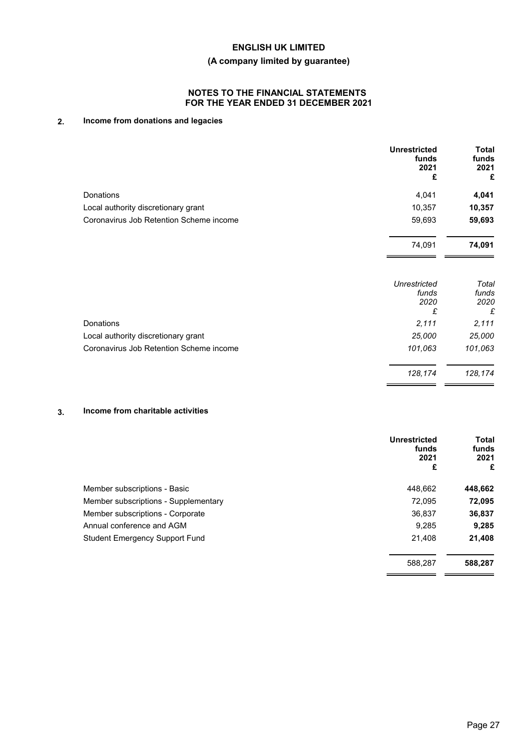## **(A company limited by guarantee)**

## **NOTES TO THE FINANCIAL STATEMENTS FOR THE YEAR ENDED 31 DECEMBER 2021**

## **2. Income from donations and legacies**

|                                         | <b>Unrestricted</b><br>funds<br>2021<br>£ | Total<br>funds<br>2021<br>£ |
|-----------------------------------------|-------------------------------------------|-----------------------------|
| <b>Donations</b>                        | 4,041                                     | 4,041                       |
| Local authority discretionary grant     | 10,357                                    | 10,357                      |
| Coronavirus Job Retention Scheme income | 59,693                                    | 59,693                      |
|                                         | 74,091                                    | 74,091                      |
|                                         | Unrestricted<br>funds<br>2020<br>£        | Total<br>funds<br>2020<br>£ |
| <b>Donations</b>                        | 2,111                                     | 2,111                       |
| Local authority discretionary grant     | 25,000                                    | 25,000                      |
| Coronavirus Job Retention Scheme income | 101,063                                   | 101,063                     |
|                                         | 128,174                                   | 128,174                     |

## **3. Income from charitable activities**

|                                       | <b>Unrestricted</b><br>funds<br>2021<br>£ | <b>Total</b><br>funds<br>2021<br>£ |
|---------------------------------------|-------------------------------------------|------------------------------------|
| Member subscriptions - Basic          | 448.662                                   | 448,662                            |
| Member subscriptions - Supplementary  | 72.095                                    | 72,095                             |
| Member subscriptions - Corporate      | 36,837                                    | 36,837                             |
| Annual conference and AGM             | 9,285                                     | 9,285                              |
| <b>Student Emergency Support Fund</b> | 21,408                                    | 21,408                             |
|                                       | 588,287                                   | 588,287                            |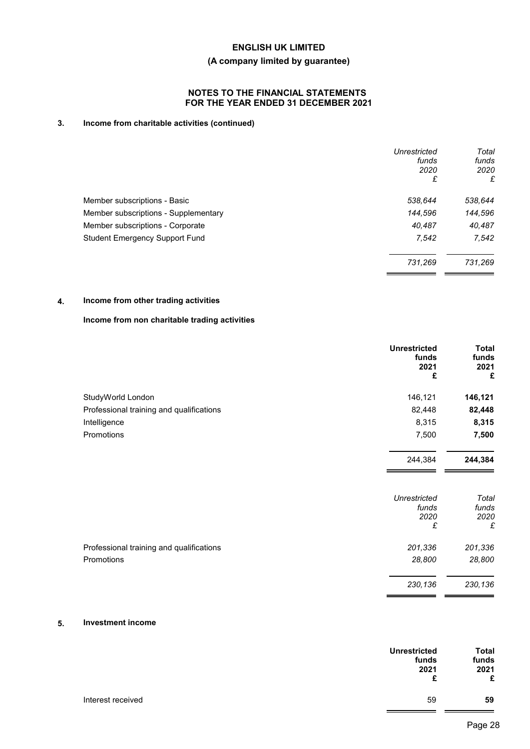## **(A company limited by guarantee)**

## **NOTES TO THE FINANCIAL STATEMENTS FOR THE YEAR ENDED 31 DECEMBER 2021**

## **3. Income from charitable activities (continued)**

|                                       | Unrestricted<br>funds<br>2020<br>£ | Total<br>funds<br>2020<br>£ |
|---------------------------------------|------------------------------------|-----------------------------|
| Member subscriptions - Basic          | 538,644                            | 538,644                     |
| Member subscriptions - Supplementary  | 144,596                            | 144,596                     |
| Member subscriptions - Corporate      | 40,487                             | 40,487                      |
| <b>Student Emergency Support Fund</b> | 7,542                              | 7,542                       |
|                                       | 731,269                            | 731,269                     |

## **4. Income from other trading activities**

## **Income from non charitable trading activities**

|                                          | <b>Unrestricted</b><br>funds<br>2021<br>£ | <b>Total</b><br>funds<br>2021<br>£ |
|------------------------------------------|-------------------------------------------|------------------------------------|
| StudyWorld London                        | 146,121                                   | 146,121                            |
| Professional training and qualifications | 82,448                                    | 82,448                             |
| Intelligence                             | 8,315                                     | 8,315                              |
| Promotions                               | 7,500                                     | 7,500                              |
|                                          | 244,384                                   | 244,384                            |
|                                          | <b>Unrestricted</b><br>funds<br>2020<br>£ | Total<br>funds<br>2020<br>£        |
| Professional training and qualifications | 201,336                                   | 201,336                            |
| Promotions                               | 28,800                                    | 28,800                             |

### **5. Investment income**

|                   | <b>Unrestricted</b> | <b>Total</b>       |
|-------------------|---------------------|--------------------|
|                   | funds<br>2021<br>£  | funds<br>2021<br>£ |
| Interest received | 59                  | 59                 |

*230,136 230,136*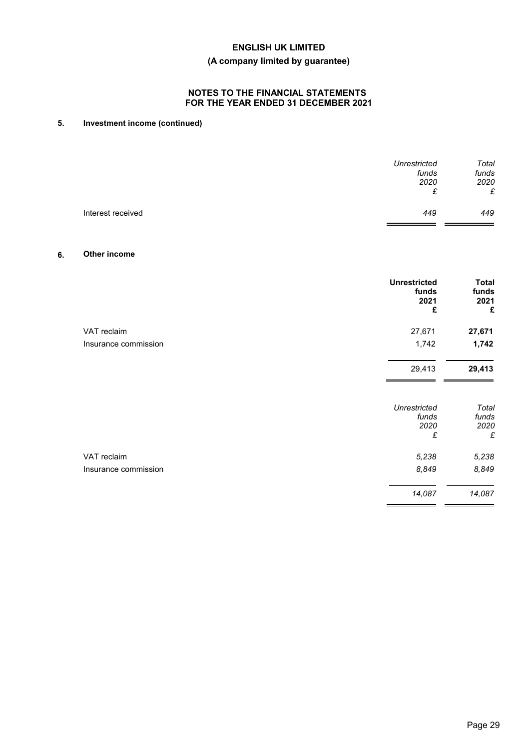## **(A company limited by guarantee)**

## **NOTES TO THE FINANCIAL STATEMENTS FOR THE YEAR ENDED 31 DECEMBER 2021**

## **5. Investment income (continued)**

| Unrestricted             | Total |
|--------------------------|-------|
| funds                    | funds |
| 2020                     | 2020  |
| £                        | £     |
| Interest received<br>449 | 449   |

## **6. Other income**

|                      | <b>Unrestricted</b><br>funds<br>2021<br>£ | <b>Total</b><br>funds<br>2021<br>£ |
|----------------------|-------------------------------------------|------------------------------------|
| VAT reclaim          | 27,671                                    | 27,671                             |
| Insurance commission | 1,742                                     | 1,742                              |
|                      | 29,413                                    | 29,413                             |
|                      | <b>Unrestricted</b><br>funds<br>2020<br>£ | Total<br>funds<br>2020<br>£        |
| VAT reclaim          | 5,238                                     | 5,238                              |
| Insurance commission | 8,849                                     | 8,849                              |
|                      | 14,087                                    | 14,087                             |

 $=$   $=$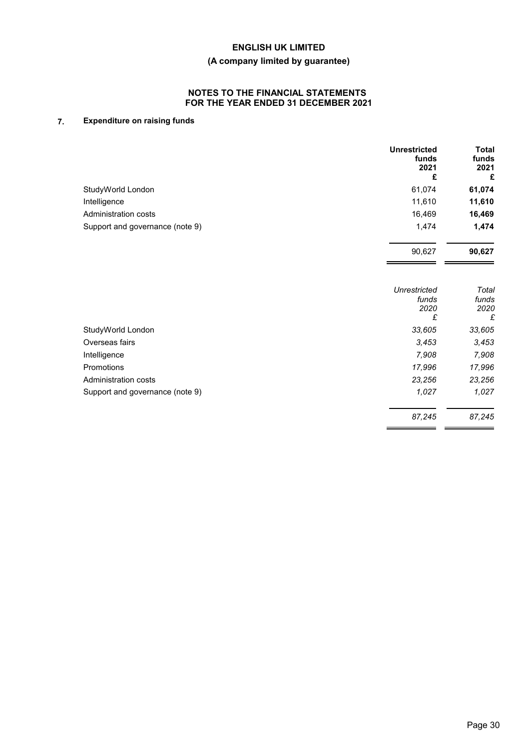## **(A company limited by guarantee)**

## **NOTES TO THE FINANCIAL STATEMENTS FOR THE YEAR ENDED 31 DECEMBER 2021**

## **7. Expenditure on raising funds**

|                                 | <b>Unrestricted</b><br>funds<br>2021<br>£ | <b>Total</b><br>funds<br>2021<br>£ |
|---------------------------------|-------------------------------------------|------------------------------------|
| StudyWorld London               | 61,074                                    | 61,074                             |
| Intelligence                    | 11.610                                    | 11,610                             |
| Administration costs            | 16,469                                    | 16,469                             |
| Support and governance (note 9) | 1,474                                     | 1,474                              |

|                                 | Unrestricted | Total  |
|---------------------------------|--------------|--------|
|                                 | funds        | funds  |
|                                 | 2020         | 2020   |
|                                 | £            | £      |
| StudyWorld London               | 33,605       | 33,605 |
| Overseas fairs                  | 3,453        | 3,453  |
| Intelligence                    | 7,908        | 7,908  |
| Promotions                      | 17,996       | 17,996 |
| Administration costs            | 23,256       | 23,256 |
| Support and governance (note 9) | 1,027        | 1,027  |
|                                 | 87,245       | 87,245 |

90,627 **90,627**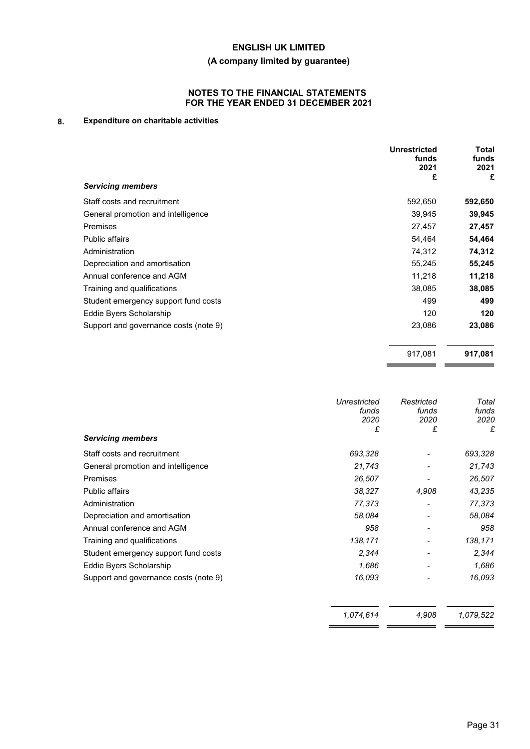## **(A company limited by guarantee)**

## **NOTES TO THE FINANCIAL STATEMENTS FOR THE YEAR ENDED 31 DECEMBER 2021**

## **8. Expenditure on charitable activities**

|                                       | <b>Unrestricted</b><br>funds<br>2021<br>£ | <b>Total</b><br>funds<br>2021<br>£ |
|---------------------------------------|-------------------------------------------|------------------------------------|
| <b>Servicing members</b>              |                                           |                                    |
| Staff costs and recruitment           | 592,650                                   | 592,650                            |
| General promotion and intelligence    | 39,945                                    | 39,945                             |
| Premises                              | 27,457                                    | 27,457                             |
| <b>Public affairs</b>                 | 54,464                                    | 54,464                             |
| Administration                        | 74,312                                    | 74,312                             |
| Depreciation and amortisation         | 55,245                                    | 55,245                             |
| Annual conference and AGM             | 11,218                                    | 11,218                             |
| Training and qualifications           | 38,085                                    | 38,085                             |
| Student emergency support fund costs  | 499                                       | 499                                |
| Eddie Byers Scholarship               | 120                                       | 120                                |
| Support and governance costs (note 9) | 23,086                                    | 23,086                             |
|                                       | 917,081                                   | 917,081                            |

| <b>Servicing members</b>              | Unrestricted<br>funds<br>2020<br>£ | Restricted<br>funds<br>2020<br>£ | Total<br>funds<br>2020<br>£ |
|---------------------------------------|------------------------------------|----------------------------------|-----------------------------|
| Staff costs and recruitment           | 693,328                            |                                  | 693,328                     |
| General promotion and intelligence    | 21,743                             |                                  | 21,743                      |
| <b>Premises</b>                       | 26,507                             |                                  | 26,507                      |
| <b>Public affairs</b>                 | 38,327                             | 4,908                            | 43,235                      |
| Administration                        | 77,373                             |                                  | 77,373                      |
| Depreciation and amortisation         | 58,084                             |                                  | 58,084                      |
| Annual conference and AGM             | 958                                |                                  | 958                         |
| Training and qualifications           | 138,171                            |                                  | 138,171                     |
| Student emergency support fund costs  | 2,344                              |                                  | 2,344                       |
| Eddie Byers Scholarship               | 1,686                              |                                  | 1,686                       |
| Support and governance costs (note 9) | 16,093                             |                                  | 16,093                      |
|                                       | 1.074.614                          | 4,908                            | 1,079,522                   |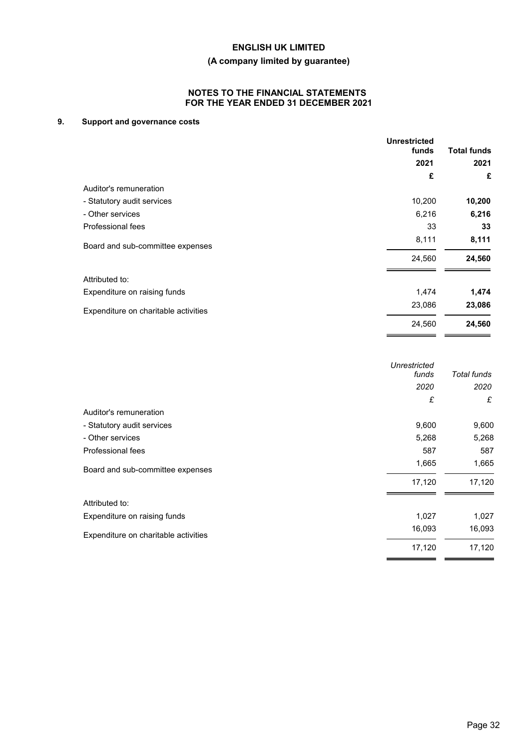# **(A company limited by guarantee)**

## **NOTES TO THE FINANCIAL STATEMENTS FOR THE YEAR ENDED 31 DECEMBER 2021**

## **9. Support and governance costs**

|                                      | <b>Unrestricted</b><br>funds | <b>Total funds</b> |
|--------------------------------------|------------------------------|--------------------|
|                                      | 2021                         | 2021               |
|                                      | £                            | £                  |
| Auditor's remuneration               |                              |                    |
| - Statutory audit services           | 10,200                       | 10,200             |
| - Other services                     | 6,216                        | 6,216              |
| Professional fees                    | 33                           | 33                 |
| Board and sub-committee expenses     | 8,111                        | 8,111              |
|                                      | 24,560                       | 24,560             |
| Attributed to:                       |                              |                    |
| Expenditure on raising funds         | 1,474                        | 1,474              |
| Expenditure on charitable activities | 23,086                       | 23,086             |
|                                      | 24,560                       | 24,560             |
|                                      |                              |                    |

|                                      | Unrestricted<br>funds | Total funds |
|--------------------------------------|-----------------------|-------------|
|                                      | 2020                  | 2020        |
|                                      | £                     | £           |
| Auditor's remuneration               |                       |             |
| - Statutory audit services           | 9,600                 | 9,600       |
| - Other services                     | 5,268                 | 5,268       |
| Professional fees                    | 587                   | 587         |
| Board and sub-committee expenses     | 1,665                 | 1,665       |
|                                      | 17,120                | 17,120      |
| Attributed to:                       |                       |             |
| Expenditure on raising funds         | 1,027                 | 1,027       |
| Expenditure on charitable activities | 16,093                | 16,093      |
|                                      | 17,120                | 17,120      |
|                                      |                       |             |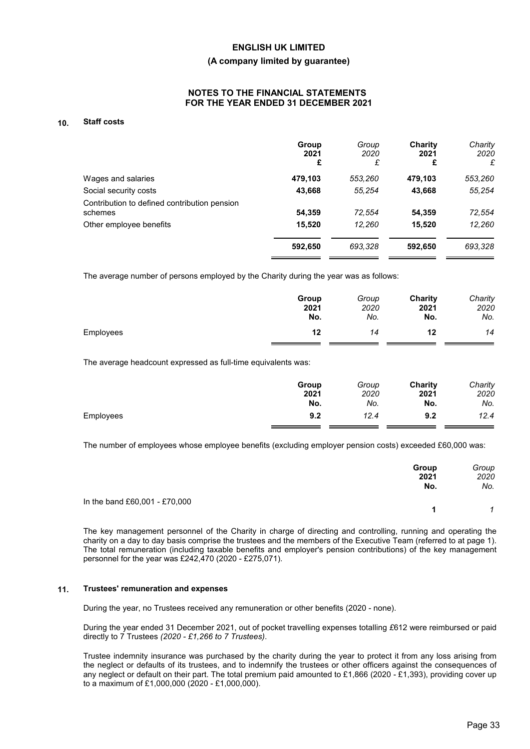#### **(A company limited by guarantee)**

## **NOTES TO THE FINANCIAL STATEMENTS FOR THE YEAR ENDED 31 DECEMBER 2021**

### **10. Staff costs**

|                                                         | Group<br>2021<br>£ | Group<br>2020<br>£ | Charity<br>2021<br>£ | Charity<br>2020<br>£ |
|---------------------------------------------------------|--------------------|--------------------|----------------------|----------------------|
| Wages and salaries                                      | 479,103            | 553,260            | 479,103              | 553,260              |
| Social security costs                                   | 43,668             | 55.254             | 43,668               | 55,254               |
| Contribution to defined contribution pension<br>schemes | 54,359             | 72,554             | 54,359               | 72,554               |
| Other employee benefits                                 | 15,520             | 12.260             | 15,520               | 12,260               |
|                                                         | 592,650            | 693,328            | 592,650              | 693,328              |

The average number of persons employed by the Charity during the year was as follows:

|           | Group | Group | Charity | Charity |
|-----------|-------|-------|---------|---------|
|           | 2021  | 2020  | 2021    | 2020    |
|           | No.   | No.   | No.     | No.     |
| Employees | 12    | 14    | 12      | 14      |

The average headcount expressed as full-time equivalents was:

|           | Group<br>2021 | Group<br>2020 | Charity<br>2021 | Charity<br>2020 |
|-----------|---------------|---------------|-----------------|-----------------|
|           | No.           | No.           | No.             | No.             |
| Employees | 9.2           | 12.4          | 9.2             | 12.4            |

The number of employees whose employee benefits (excluding employer pension costs) exceeded £60,000 was:

|                               | Group<br>2021<br>No. | Group<br>2020<br>No. |
|-------------------------------|----------------------|----------------------|
| In the band £60,001 - £70,000 |                      |                      |
|                               |                      |                      |

The key management personnel of the Charity in charge of directing and controlling, running and operating the charity on a day to day basis comprise the trustees and the members of the Executive Team (referred to at page 1). The total remuneration (including taxable benefits and employer's pension contributions) of the key management personnel for the year was £242,470 (2020 - £275,071).

#### **11. Trustees' remuneration and expenses**

During the year, no Trustees received any remuneration or other benefits (2020 - none).

During the year ended 31 December 2021, out of pocket travelling expenses totalling *£*612 were reimbursed or paid directly to 7 Trustees *(2020 - £1,266 to 7 Trustees)*.

Trustee indemnity insurance was purchased by the charity during the year to protect it from any loss arising from the neglect or defaults of its trustees, and to indemnify the trustees or other officers against the consequences of any neglect or default on their part. The total premium paid amounted to £1,866 (2020 - £1,393), providing cover up to a maximum of £1,000,000 (2020 - £1,000,000).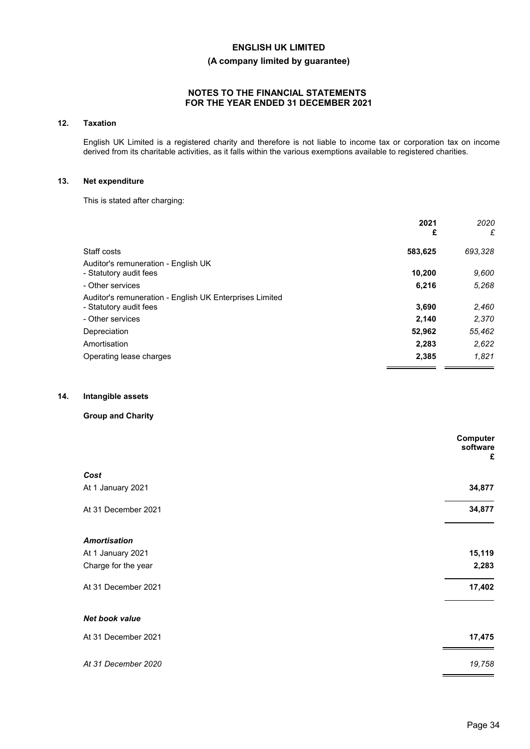## **(A company limited by guarantee)**

## **NOTES TO THE FINANCIAL STATEMENTS FOR THE YEAR ENDED 31 DECEMBER 2021**

### **12. Taxation**

English UK Limited is a registered charity and therefore is not liable to income tax or corporation tax on income derived from its charitable activities, as it falls within the various exemptions available to registered charities.

### **13. Net expenditure**

This is stated after charging:

|                                                         | 2021<br>£ | 2020<br>£ |
|---------------------------------------------------------|-----------|-----------|
| Staff costs                                             | 583,625   | 693,328   |
| Auditor's remuneration - English UK                     |           |           |
| - Statutory audit fees                                  | 10,200    | 9,600     |
| - Other services                                        | 6,216     | 5.268     |
| Auditor's remuneration - English UK Enterprises Limited |           |           |
| - Statutory audit fees                                  | 3,690     | 2,460     |
| - Other services                                        | 2,140     | 2,370     |
| Depreciation                                            | 52,962    | 55,462    |
| Amortisation                                            | 2,283     | 2,622     |
| Operating lease charges                                 | 2,385     | 1.821     |
|                                                         |           |           |

## **14. Intangible assets**

## **Group and Charity**

|                     | Computer<br>software<br>£ |
|---------------------|---------------------------|
| Cost                |                           |
| At 1 January 2021   | 34,877                    |
| At 31 December 2021 | 34,877                    |
| <b>Amortisation</b> |                           |
| At 1 January 2021   | 15,119                    |
| Charge for the year | 2,283                     |
| At 31 December 2021 | 17,402                    |
| Net book value      |                           |
| At 31 December 2021 | 17,475                    |
| At 31 December 2020 | 19,758                    |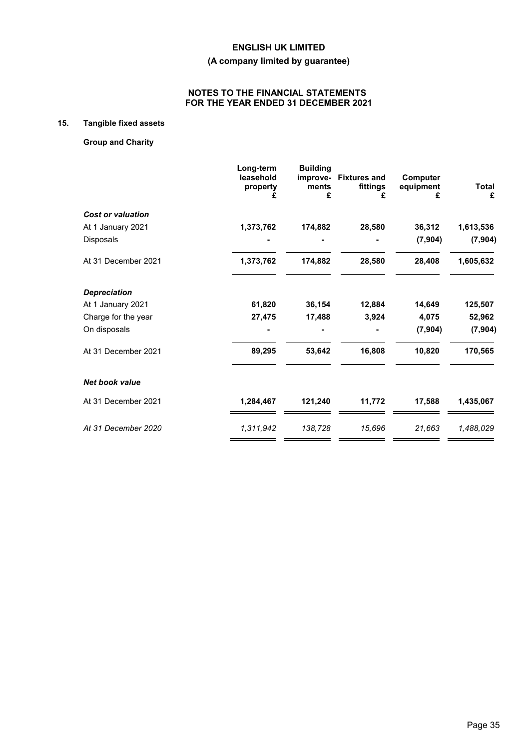## **(A company limited by guarantee)**

## **NOTES TO THE FINANCIAL STATEMENTS FOR THE YEAR ENDED 31 DECEMBER 2021**

## **15. Tangible fixed assets**

## **Group and Charity**

|                          | Long-term<br>leasehold<br>property<br>£ | <b>Building</b><br>ments<br>£ | improve- Fixtures and<br>fittings<br>£ | Computer<br>equipment<br>£ | <b>Total</b><br>£ |
|--------------------------|-----------------------------------------|-------------------------------|----------------------------------------|----------------------------|-------------------|
| <b>Cost or valuation</b> |                                         |                               |                                        |                            |                   |
| At 1 January 2021        | 1,373,762                               | 174,882                       | 28,580                                 | 36,312                     | 1,613,536         |
| Disposals                |                                         |                               |                                        | (7, 904)                   | (7, 904)          |
| At 31 December 2021      | 1,373,762                               | 174,882                       | 28,580                                 | 28,408                     | 1,605,632         |
| <b>Depreciation</b>      |                                         |                               |                                        |                            |                   |
| At 1 January 2021        | 61,820                                  | 36,154                        | 12,884                                 | 14,649                     | 125,507           |
| Charge for the year      | 27,475                                  | 17,488                        | 3,924                                  | 4,075                      | 52,962            |
| On disposals             |                                         |                               |                                        | (7, 904)                   | (7, 904)          |
| At 31 December 2021      | 89,295                                  | 53,642                        | 16,808                                 | 10,820                     | 170,565           |
| <b>Net book value</b>    |                                         |                               |                                        |                            |                   |
| At 31 December 2021      | 1,284,467                               | 121,240                       | 11,772                                 | 17,588                     | 1,435,067         |
| At 31 December 2020      | 1,311,942                               | 138,728                       | 15,696                                 | 21,663                     | 1,488,029         |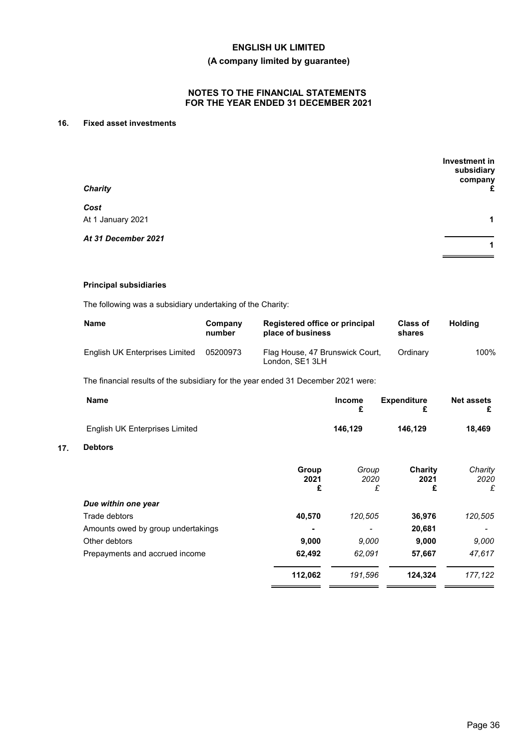## **(A company limited by guarantee)**

## **NOTES TO THE FINANCIAL STATEMENTS FOR THE YEAR ENDED 31 DECEMBER 2021**

## **16. Fixed asset investments**

| <b>Charity</b>      | Investment in<br>subsidiary<br>company<br>£ |
|---------------------|---------------------------------------------|
| Cost                |                                             |
| At 1 January 2021   | 1                                           |
| At 31 December 2021 |                                             |
|                     | 1                                           |

### **Principal subsidiaries**

**17. Debtors**

The following was a subsidiary undertaking of the Charity:

| <b>Name</b>                    | Company<br>number | Registered office or principal<br>place of business | <b>Class of</b><br>shares | <b>Holding</b> |
|--------------------------------|-------------------|-----------------------------------------------------|---------------------------|----------------|
| English UK Enterprises Limited | 05200973          | Flag House, 47 Brunswick Court,<br>London, SE1 3LH  | Ordinary                  | 100%           |

The financial results of the subsidiary for the year ended 31 December 2021 were:

|                    | <b>Income</b><br>£ | <b>Expenditure</b><br>£ | <b>Net assets</b><br>£                                      |
|--------------------|--------------------|-------------------------|-------------------------------------------------------------|
|                    | 146,129            | 146,129                 | 18,469                                                      |
|                    |                    |                         |                                                             |
| Group<br>2021<br>£ |                    | Charity<br>2021<br>£    | Charity<br>2020<br>£                                        |
|                    |                    |                         |                                                             |
| 40,570             |                    | 36,976                  | 120,505                                                     |
|                    | -                  | 20,681                  |                                                             |
| 9,000              |                    | 9,000                   | 9,000                                                       |
| 62,492             |                    | 57,667                  | 47,617                                                      |
| 112,062            |                    | 124,324                 | 177,122                                                     |
|                    |                    |                         | Group<br>2020<br>£<br>120,505<br>9.000<br>62,091<br>191,596 |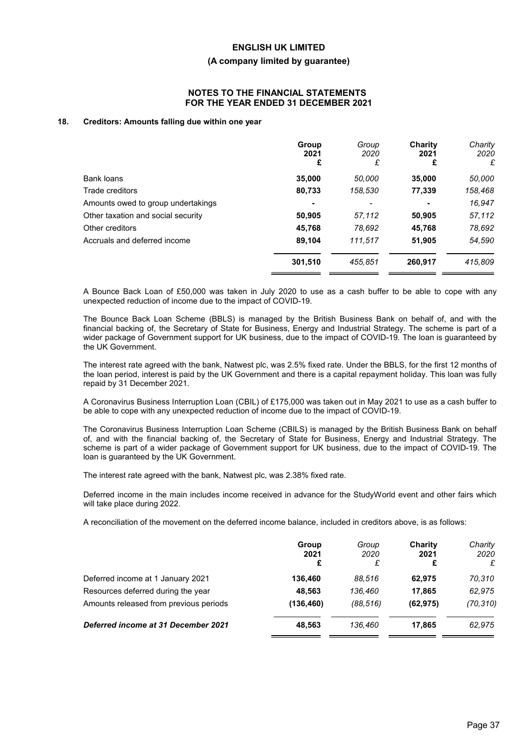#### **(A company limited by guarantee)**

### **NOTES TO THE FINANCIAL STATEMENTS FOR THE YEAR ENDED 31 DECEMBER 2021**

#### **18. Creditors: Amounts falling due within one year**

|                                    | Group<br>2021<br>£ | Group<br>2020<br>£ | Charity<br>2021<br>£ | Charity<br>2020<br>£ |
|------------------------------------|--------------------|--------------------|----------------------|----------------------|
| Bank loans                         | 35,000             | 50,000             | 35,000               | 50,000               |
| Trade creditors                    | 80,733             | 158,530            | 77,339               | 158,468              |
| Amounts owed to group undertakings |                    |                    | ٠                    | 16,947               |
| Other taxation and social security | 50,905             | 57,112             | 50,905               | 57,112               |
| Other creditors                    | 45,768             | 78,692             | 45,768               | 78.692               |
| Accruals and deferred income       | 89,104             | 111.517            | 51,905               | 54,590               |
|                                    | 301,510            | 455.851            | 260,917              | 415,809              |

A Bounce Back Loan of £50,000 was taken in July 2020 to use as a cash buffer to be able to cope with any unexpected reduction of income due to the impact of COVID-19.

The Bounce Back Loan Scheme (BBLS) is managed by the British Business Bank on behalf of, and with the financial backing of, the Secretary of State for Business, Energy and Industrial Strategy. The scheme is part of a wider package of Government support for UK business, due to the impact of COVID-19. The loan is guaranteed by the UK Government.

The interest rate agreed with the bank, Natwest plc, was 2.5% fixed rate. Under the BBLS, for the first 12 months of the loan period, interest is paid by the UK Government and there is a capital repayment holiday. This loan was fully repaid by 31 December 2021.

A Coronavirus Business Interruption Loan (CBIL) of £175,000 was taken out in May 2021 to use as a cash buffer to be able to cope with any unexpected reduction of income due to the impact of COVID-19.

The Coronavirus Business Interruption Loan Scheme (CBILS) is managed by the British Business Bank on behalf of, and with the financial backing of, the Secretary of State for Business, Energy and Industrial Strategy. The scheme is part of a wider package of Government support for UK business, due to the impact of COVID-19. The loan is guaranteed by the UK Government.

The interest rate agreed with the bank, Natwest plc, was 2.38% fixed rate.

Deferred income in the main includes income received in advance for the StudyWorld event and other fairs which will take place during 2022.

A reconciliation of the movement on the deferred income balance, included in creditors above, is as follows:

|                                        | Group<br>2021<br>£ | Group<br>2020 | Charity<br>2021 | Charity<br>2020<br>£ |
|----------------------------------------|--------------------|---------------|-----------------|----------------------|
| Deferred income at 1 January 2021      | 136,460            | 88.516        | 62.975          | 70,310               |
| Resources deferred during the year     | 48.563             | 136.460       | 17.865          | 62.975               |
| Amounts released from previous periods | (136, 460)         | (88.516)      | (62, 975)       | (70, 310)            |
| Deferred income at 31 December 2021    | 48.563             | 136.460       | 17.865          | 62.975               |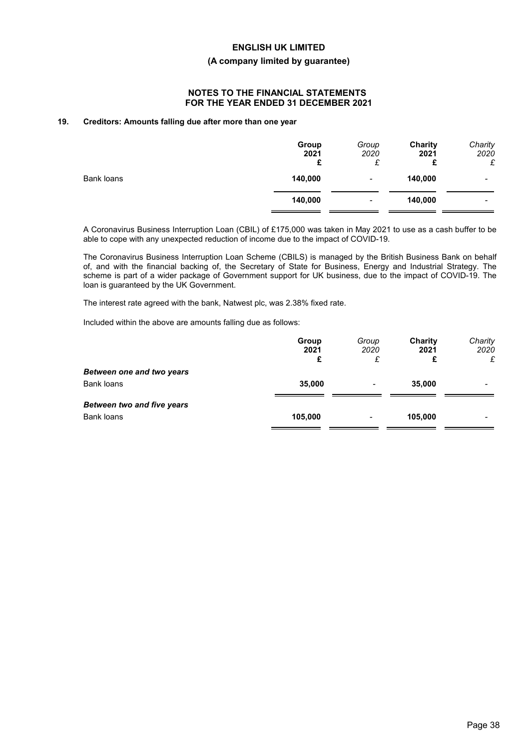### **(A company limited by guarantee)**

## **NOTES TO THE FINANCIAL STATEMENTS FOR THE YEAR ENDED 31 DECEMBER 2021**

### **19. Creditors: Amounts falling due after more than one year**

|            | Group<br>2021<br>£ | Group<br>2020<br>£ | <b>Charity</b><br>2021<br>£<br>⊷ | Charity<br>2020<br>£ |
|------------|--------------------|--------------------|----------------------------------|----------------------|
| Bank loans | 140,000            | ٠                  | 140,000                          | -                    |
|            | 140,000            | ۰                  | 140,000                          | -                    |

A Coronavirus Business Interruption Loan (CBIL) of £175,000 was taken in May 2021 to use as a cash buffer to be able to cope with any unexpected reduction of income due to the impact of COVID-19.

The Coronavirus Business Interruption Loan Scheme (CBILS) is managed by the British Business Bank on behalf of, and with the financial backing of, the Secretary of State for Business, Energy and Industrial Strategy. The scheme is part of a wider package of Government support for UK business, due to the impact of COVID-19. The loan is guaranteed by the UK Government.

The interest rate agreed with the bank, Natwest plc, was 2.38% fixed rate.

Included within the above are amounts falling due as follows:

|                                   | Group<br>2021<br>£ | Group<br>2020<br>£ | Charity<br>2021<br>£ | Charity<br>2020<br>£ |
|-----------------------------------|--------------------|--------------------|----------------------|----------------------|
| Between one and two years         |                    |                    |                      |                      |
| Bank loans                        | 35,000             | ۰                  | 35,000               |                      |
| <b>Between two and five years</b> |                    |                    |                      |                      |
| <b>Bank loans</b>                 | 105,000            | ٠                  | 105,000              |                      |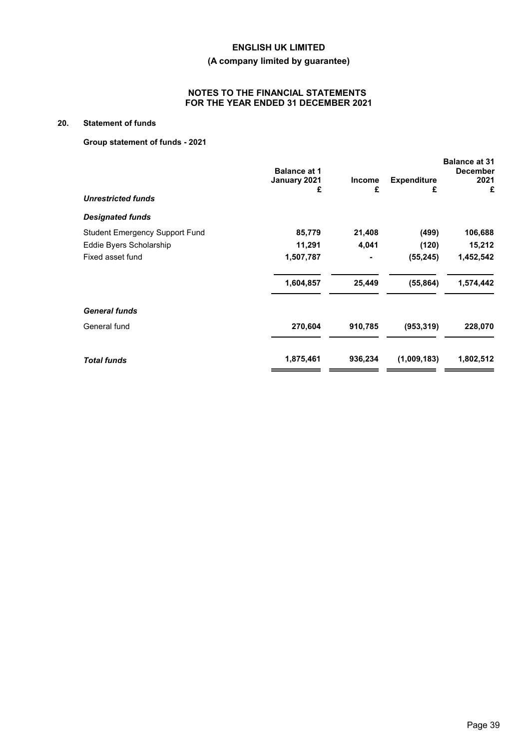## **(A company limited by guarantee)**

## **NOTES TO THE FINANCIAL STATEMENTS FOR THE YEAR ENDED 31 DECEMBER 2021**

## **20. Statement of funds**

## **Group statement of funds - 2021**

| <b>Balance at 1</b><br>January 2021<br>£ | <b>Income</b><br>£ | <b>Expenditure</b><br>£ | <b>Balance at 31</b><br><b>December</b><br>2021<br>£ |
|------------------------------------------|--------------------|-------------------------|------------------------------------------------------|
|                                          |                    |                         |                                                      |
|                                          |                    |                         |                                                      |
| 85,779                                   | 21,408             | (499)                   | 106,688                                              |
| 11,291                                   | 4,041              | (120)                   | 15,212                                               |
| 1,507,787                                | ٠                  | (55, 245)               | 1,452,542                                            |
| 1,604,857                                | 25,449             | (55, 864)               | 1,574,442                                            |
|                                          |                    |                         |                                                      |
| 270,604                                  | 910,785            | (953, 319)              | 228,070                                              |
| 1,875,461                                | 936,234            | (1,009,183)             | 1,802,512                                            |
|                                          |                    |                         |                                                      |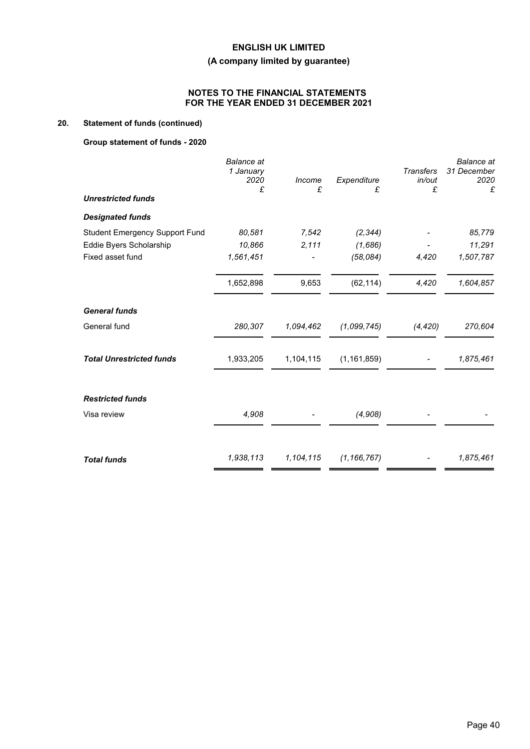## **(A company limited by guarantee)**

## **NOTES TO THE FINANCIAL STATEMENTS FOR THE YEAR ENDED 31 DECEMBER 2021**

## **20. Statement of funds (continued)**

## **Group statement of funds - 2020**

|                                       | <b>Balance</b> at<br>1 January<br>2020<br>£ | Income<br>£ | Expenditure<br>£ | <b>Transfers</b><br>in/out<br>£ | <b>Balance</b> at<br>31 December<br>2020<br>£ |
|---------------------------------------|---------------------------------------------|-------------|------------------|---------------------------------|-----------------------------------------------|
| <b>Unrestricted funds</b>             |                                             |             |                  |                                 |                                               |
| <b>Designated funds</b>               |                                             |             |                  |                                 |                                               |
| <b>Student Emergency Support Fund</b> | 80,581                                      | 7,542       | (2, 344)         |                                 | 85,779                                        |
| Eddie Byers Scholarship               | 10,866                                      | 2,111       | (1,686)          |                                 | 11,291                                        |
| Fixed asset fund                      | 1,561,451                                   |             | (58,084)         | 4,420                           | 1,507,787                                     |
|                                       | 1,652,898                                   | 9,653       | (62, 114)        | 4,420                           | 1,604,857                                     |
| <b>General funds</b>                  |                                             |             |                  |                                 |                                               |
| General fund                          | 280,307                                     | 1.094,462   | (1,099,745)      | (4, 420)                        | 270,604                                       |
| <b>Total Unrestricted funds</b>       | 1,933,205                                   | 1,104,115   | (1, 161, 859)    |                                 | 1,875,461                                     |
| <b>Restricted funds</b>               |                                             |             |                  |                                 |                                               |
| Visa review                           | 4,908                                       |             | (4,908)          |                                 |                                               |
|                                       |                                             |             |                  |                                 |                                               |
| <b>Total funds</b>                    | 1,938,113                                   | 1,104,115   | (1, 166, 767)    |                                 | 1,875,461                                     |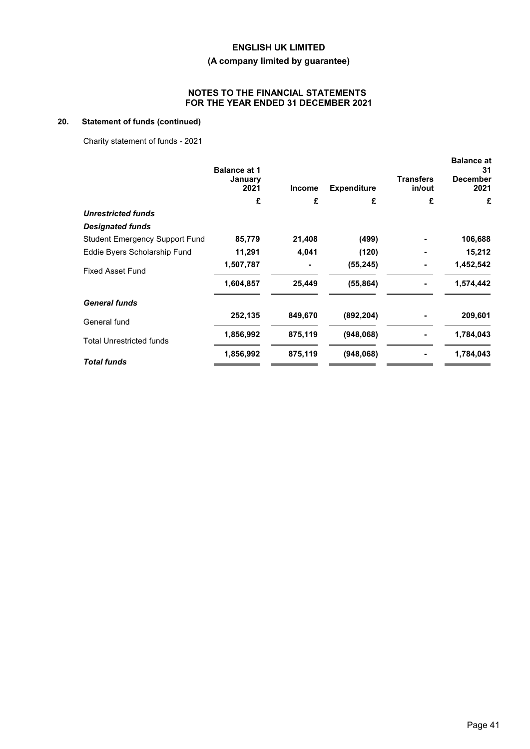## **(A company limited by guarantee)**

## **NOTES TO THE FINANCIAL STATEMENTS FOR THE YEAR ENDED 31 DECEMBER 2021**

## **20. Statement of funds (continued)**

Charity statement of funds - 2021

|                                       | <b>Balance at 1</b><br>January<br>2021 | <b>Income</b> | <b>Expenditure</b> | <b>Transfers</b><br>in/out | <b>Balance at</b><br>31<br><b>December</b><br>2021 |
|---------------------------------------|----------------------------------------|---------------|--------------------|----------------------------|----------------------------------------------------|
|                                       | £                                      | £             | £                  | £                          | £                                                  |
| <b>Unrestricted funds</b>             |                                        |               |                    |                            |                                                    |
| <b>Designated funds</b>               |                                        |               |                    |                            |                                                    |
| <b>Student Emergency Support Fund</b> | 85,779                                 | 21,408        | (499)              |                            | 106,688                                            |
| Eddie Byers Scholarship Fund          | 11,291                                 | 4,041         | (120)              |                            | 15,212                                             |
| <b>Fixed Asset Fund</b>               | 1,507,787                              |               | (55, 245)          |                            | 1,452,542                                          |
|                                       | 1,604,857                              | 25,449        | (55, 864)          |                            | 1,574,442                                          |
| <b>General funds</b>                  |                                        |               |                    |                            |                                                    |
| General fund                          | 252,135                                | 849,670       | (892, 204)         |                            | 209,601                                            |
| <b>Total Unrestricted funds</b>       | 1,856,992                              | 875,119       | (948,068)          |                            | 1,784,043                                          |
| <b>Total funds</b>                    | 1,856,992                              | 875,119       | (948,068)          |                            | 1,784,043                                          |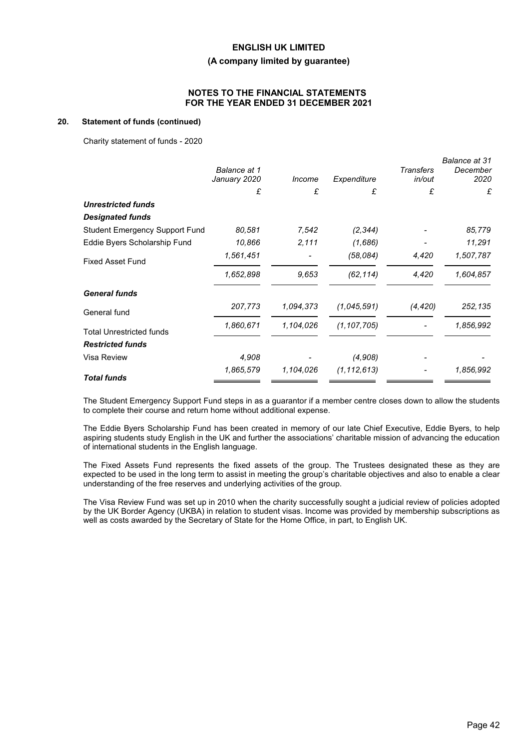#### **(A company limited by guarantee)**

## **NOTES TO THE FINANCIAL STATEMENTS FOR THE YEAR ENDED 31 DECEMBER 2021**

#### **20. Statement of funds (continued)**

Charity statement of funds - 2020

|                                       | Balance at 1<br>January 2020 | Income    | Expenditure   | <b>Transfers</b><br>in/out | Balance at 31<br>December<br>2020 |
|---------------------------------------|------------------------------|-----------|---------------|----------------------------|-----------------------------------|
|                                       | £                            | £         | £             | £                          | £                                 |
| <b>Unrestricted funds</b>             |                              |           |               |                            |                                   |
| <b>Designated funds</b>               |                              |           |               |                            |                                   |
| <b>Student Emergency Support Fund</b> | 80,581                       | 7,542     | (2, 344)      |                            | 85,779                            |
| Eddie Byers Scholarship Fund          | 10,866                       | 2,111     | (1,686)       |                            | 11,291                            |
| <b>Fixed Asset Fund</b>               | 1,561,451                    |           | (58,084)      | 4,420                      | 1,507,787                         |
|                                       | 1,652,898                    | 9.653     | (62, 114)     | 4,420                      | 1,604,857                         |
| <b>General funds</b>                  |                              |           |               |                            |                                   |
| General fund                          | 207,773                      | 1,094,373 | (1,045,591)   | (4, 420)                   | 252,135                           |
| <b>Total Unrestricted funds</b>       | 1,860,671                    | 1,104,026 | (1, 107, 705) |                            | 1,856,992                         |
| <b>Restricted funds</b>               |                              |           |               |                            |                                   |
| Visa Review                           | 4,908                        |           | (4,908)       |                            |                                   |
| <b>Total funds</b>                    | 1,865,579                    | 1,104,026 | (1, 112, 613) |                            | 1,856,992                         |

The Student Emergency Support Fund steps in as a guarantor if a member centre closes down to allow the students to complete their course and return home without additional expense.

The Eddie Byers Scholarship Fund has been created in memory of our late Chief Executive, Eddie Byers, to help aspiring students study English in the UK and further the associations' charitable mission of advancing the education of international students in the English language.

The Fixed Assets Fund represents the fixed assets of the group. The Trustees designated these as they are expected to be used in the long term to assist in meeting the group's charitable objectives and also to enable a clear understanding of the free reserves and underlying activities of the group.

The Visa Review Fund was set up in 2010 when the charity successfully sought a judicial review of policies adopted by the UK Border Agency (UKBA) in relation to student visas. Income was provided by membership subscriptions as well as costs awarded by the Secretary of State for the Home Office, in part, to English UK.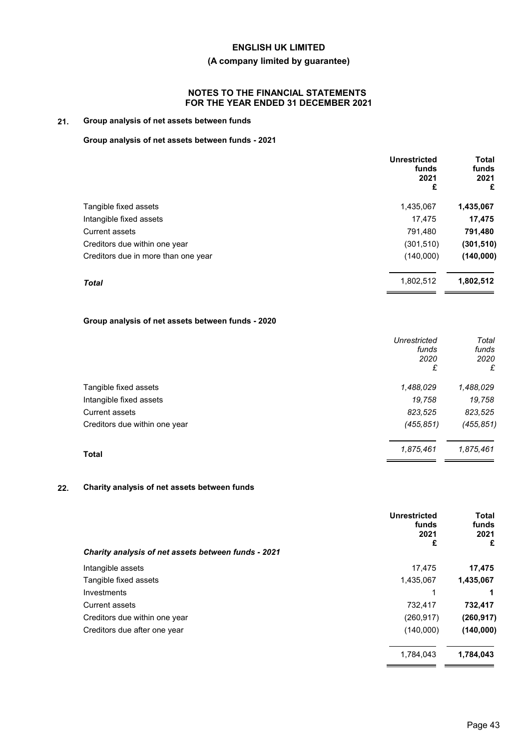## **(A company limited by guarantee)**

## **NOTES TO THE FINANCIAL STATEMENTS FOR THE YEAR ENDED 31 DECEMBER 2021**

## **21. Group analysis of net assets between funds**

### **Group analysis of net assets between funds - 2021**

|                                     | <b>Unrestricted</b><br>funds<br>2021<br>£ | <b>Total</b><br>funds<br>2021<br>£ |
|-------------------------------------|-------------------------------------------|------------------------------------|
| Tangible fixed assets               | 1,435,067                                 | 1,435,067                          |
| Intangible fixed assets             | 17,475                                    | 17,475                             |
| <b>Current assets</b>               | 791,480                                   | 791,480                            |
| Creditors due within one year       | (301, 510)                                | (301, 510)                         |
| Creditors due in more than one year | (140,000)                                 | (140,000)                          |
| <b>Total</b>                        | 1,802,512                                 | 1,802,512                          |

## **Group analysis of net assets between funds - 2020**

|                               | Unrestricted<br>funds<br>2020 | Total<br>funds<br>2020 |
|-------------------------------|-------------------------------|------------------------|
|                               | £                             | £                      |
| Tangible fixed assets         | 1,488,029                     | 1,488,029              |
| Intangible fixed assets       | 19,758                        | 19,758                 |
| <b>Current assets</b>         | 823,525                       | 823,525                |
| Creditors due within one year | (455, 851)                    | (455, 851)             |
| <b>Total</b>                  | 1,875,461                     | 1,875,461              |

### **22. Charity analysis of net assets between funds**

| Charity analysis of net assets between funds - 2021 | <b>Unrestricted</b><br>funds<br>2021<br>£ | Total<br>funds<br>2021<br>£ |
|-----------------------------------------------------|-------------------------------------------|-----------------------------|
| Intangible assets                                   | 17,475                                    | 17,475                      |
| Tangible fixed assets                               | 1,435,067                                 | 1,435,067                   |
| Investments                                         | 1                                         |                             |
| Current assets                                      | 732,417                                   | 732,417                     |
| Creditors due within one year                       | (260, 917)                                | (260, 917)                  |
| Creditors due after one year                        | (140,000)                                 | (140,000)                   |
|                                                     | 1,784,043                                 | 1,784,043                   |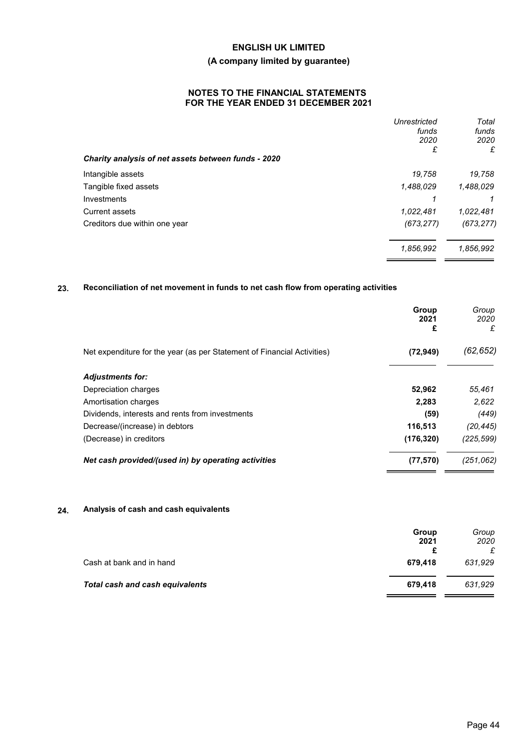## **(A company limited by guarantee)**

## **NOTES TO THE FINANCIAL STATEMENTS FOR THE YEAR ENDED 31 DECEMBER 2021**

|                                                     | Unrestricted<br>funds<br>2020<br>£ | Total<br>funds<br>2020<br>£ |
|-----------------------------------------------------|------------------------------------|-----------------------------|
| Charity analysis of net assets between funds - 2020 |                                    |                             |
| Intangible assets                                   | 19,758                             | 19,758                      |
| Tangible fixed assets                               | 1,488,029                          | 1,488,029                   |
| Investments                                         | 1                                  | 1                           |
| <b>Current assets</b>                               | 1.022,481                          | 1.022,481                   |
| Creditors due within one year                       | (673, 277)                         | (673, 277)                  |
|                                                     | 1,856,992                          | 1,856,992                   |
|                                                     |                                    |                             |

## **23. Reconciliation of net movement in funds to net cash flow from operating activities**

|                                                                         | Group<br>2021<br>£ | Group<br>2020<br>£ |
|-------------------------------------------------------------------------|--------------------|--------------------|
| Net expenditure for the year (as per Statement of Financial Activities) | (72, 949)          | (62, 652)          |
| <b>Adjustments for:</b>                                                 |                    |                    |
| Depreciation charges                                                    | 52,962             | 55,461             |
| Amortisation charges                                                    | 2,283              | 2,622              |
| Dividends, interests and rents from investments                         | (59)               | (449)              |
| Decrease/(increase) in debtors                                          | 116,513            | (20, 445)          |
| (Decrease) in creditors                                                 | (176, 320)         | (225, 599)         |
| Net cash provided/(used in) by operating activities                     | (77, 570)          | (251, 062)         |

## **24. Analysis of cash and cash equivalents**

|                                 | Group   | Group     |
|---------------------------------|---------|-----------|
|                                 | 2021    | 2020<br>£ |
| Cash at bank and in hand        | 679.418 | 631,929   |
| Total cash and cash equivalents | 679.418 | 631,929   |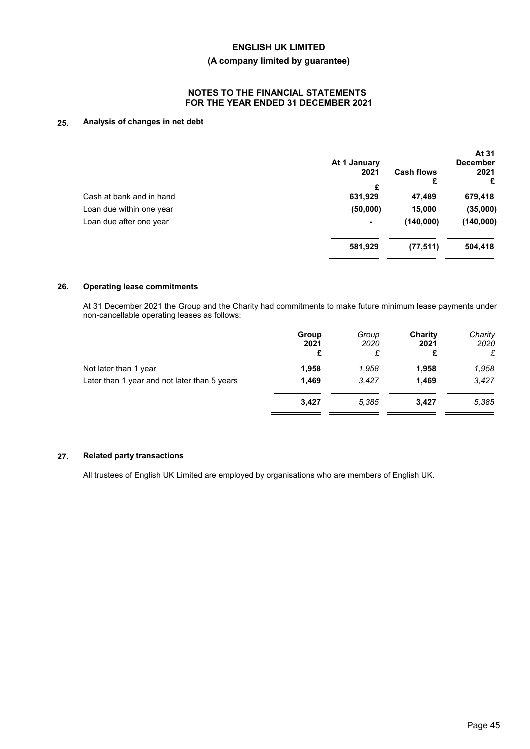### **(A company limited by guarantee)**

## **NOTES TO THE FINANCIAL STATEMENTS FOR THE YEAR ENDED 31 DECEMBER 2021**

### **25. Analysis of changes in net debt**

|                          | At 1 January |                   | At 31<br><b>December</b> |
|--------------------------|--------------|-------------------|--------------------------|
|                          | 2021         | <b>Cash flows</b> | 2021                     |
|                          | £            | £                 | £                        |
| Cash at bank and in hand | 631,929      | 47,489            | 679,418                  |
| Loan due within one year | (50,000)     | 15,000            | (35,000)                 |
| Loan due after one year  | ٠            | (140,000)         | (140,000)                |
|                          | 581,929      | (77, 511)         | 504,418                  |
|                          |              |                   |                          |

### **26. Operating lease commitments**

At 31 December 2021 the Group and the Charity had commitments to make future minimum lease payments under non-cancellable operating leases as follows:

|                                              | Group<br>2021<br>£ | Group<br>2020<br>£ | Charity<br>2021<br>£ | Charity<br>2020<br>£ |
|----------------------------------------------|--------------------|--------------------|----------------------|----------------------|
| Not later than 1 year                        | 1,958              | 1,958              | 1,958                | 1,958                |
| Later than 1 year and not later than 5 years | 1.469              | 3.427              | 1.469                | 3,427                |
|                                              | 3.427              | 5.385              | 3.427                | 5,385                |
|                                              |                    |                    |                      |                      |

### **27. Related party transactions**

All trustees of English UK Limited are employed by organisations who are members of English UK.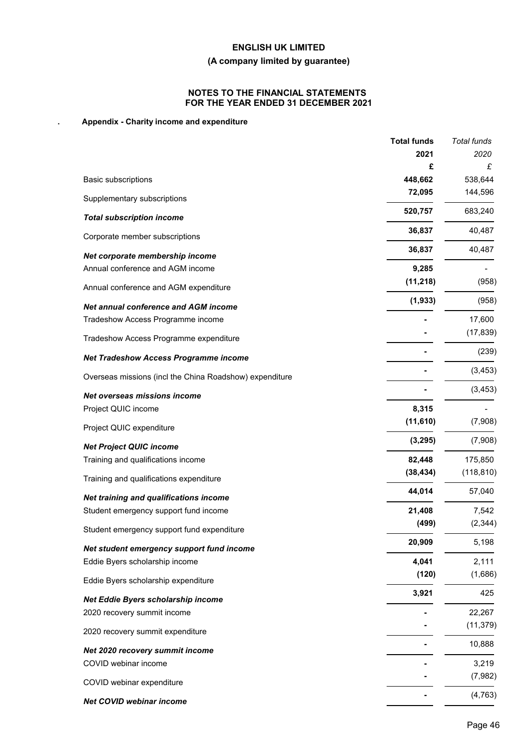## **(A company limited by guarantee)**

## **NOTES TO THE FINANCIAL STATEMENTS FOR THE YEAR ENDED 31 DECEMBER 2021**

## **. Appendix - Charity income and expenditure**

|                                                         | <b>Total funds</b>  | Total funds           |
|---------------------------------------------------------|---------------------|-----------------------|
|                                                         | 2021                | 2020                  |
|                                                         | £                   | £                     |
| Basic subscriptions                                     | 448,662             | 538,644               |
| Supplementary subscriptions                             | 72,095              | 144,596               |
| <b>Total subscription income</b>                        | 520,757             | 683,240               |
| Corporate member subscriptions                          | 36,837              | 40,487                |
| Net corporate membership income                         | 36,837              | 40,487                |
| Annual conference and AGM income                        | 9,285               |                       |
| Annual conference and AGM expenditure                   | (11, 218)           | (958)                 |
| <b>Net annual conference and AGM income</b>             | (1, 933)            | (958)                 |
| Tradeshow Access Programme income                       |                     | 17,600                |
| Tradeshow Access Programme expenditure                  |                     | (17, 839)             |
| <b>Net Tradeshow Access Programme income</b>            |                     | (239)                 |
| Overseas missions (incl the China Roadshow) expenditure |                     | (3, 453)              |
| Net overseas missions income                            |                     | (3, 453)              |
| Project QUIC income                                     | 8,315               |                       |
| Project QUIC expenditure                                | (11, 610)           | (7,908)               |
|                                                         | (3, 295)            | (7,908)               |
| <b>Net Project QUIC income</b>                          |                     |                       |
| Training and qualifications income                      | 82,448<br>(38, 434) | 175,850<br>(118, 810) |
| Training and qualifications expenditure                 | 44,014              | 57,040                |
| Net training and qualifications income                  |                     |                       |
| Student emergency support fund income                   | 21,408              | 7,542                 |
| Student emergency support fund expenditure              | (499)               | (2, 344)              |
| Net student emergency support fund income               | 20,909              | 5,198                 |
| Eddie Byers scholarship income                          | 4,041               | 2,111                 |
| Eddie Byers scholarship expenditure                     | (120)               | (1,686)               |
| Net Eddie Byers scholarship income                      | 3,921               | 425                   |
| 2020 recovery summit income                             |                     | 22,267                |
| 2020 recovery summit expenditure                        |                     | (11, 379)             |
| Net 2020 recovery summit income                         |                     | 10,888                |
| COVID webinar income                                    |                     | 3,219                 |
| COVID webinar expenditure                               |                     | (7,982)               |
| Net COVID webinar income                                |                     | (4, 763)              |